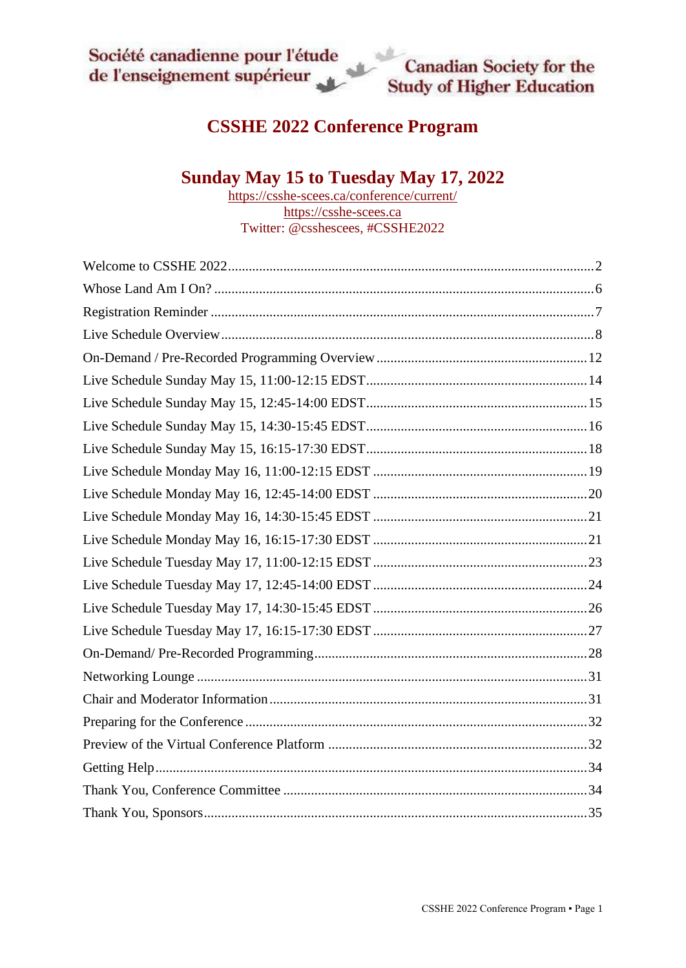# **CSSHE 2022 Conference Program**

# **Sunday May 15 to Tuesday May 17, 2022**

<https://csshe-scees.ca/conference/current/> [https://csshe-scees.ca](https://csshe-scees.ca/) Twitter: @csshescees, #CSSHE2022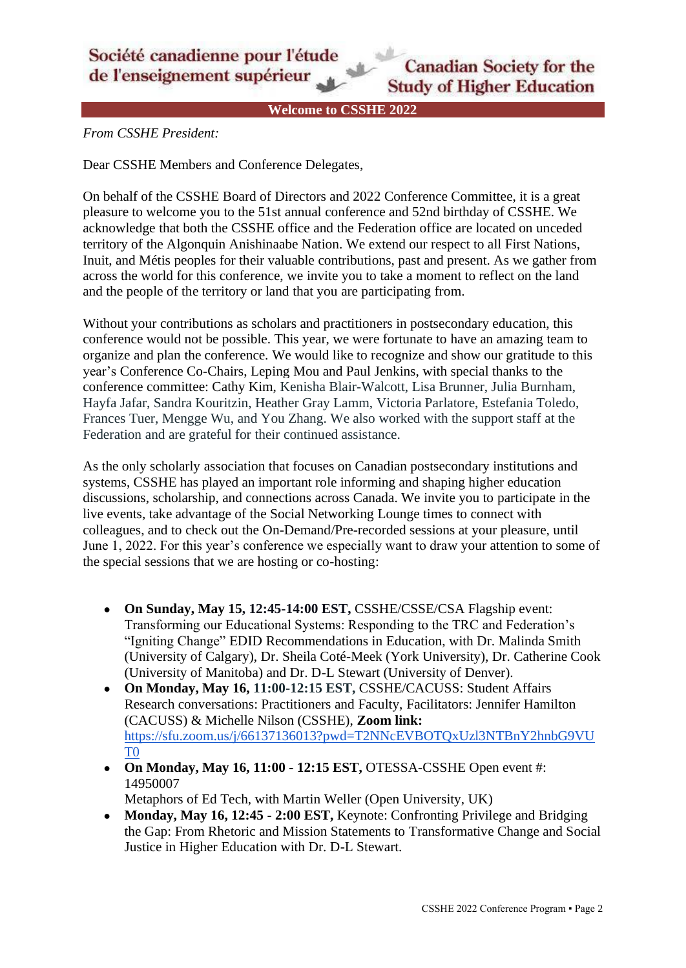

**Welcome to CSSHE 2022**

<span id="page-1-0"></span>*From CSSHE President:*

Dear CSSHE Members and Conference Delegates,

On behalf of the CSSHE Board of Directors and 2022 Conference Committee, it is a great pleasure to welcome you to the 51st annual conference and 52nd birthday of CSSHE. We acknowledge that both the CSSHE office and the Federation office are located on unceded territory of the Algonquin Anishinaabe Nation. We extend our respect to all First Nations, Inuit, and Métis peoples for their valuable contributions, past and present. As we gather from across the world for this conference, we invite you to take a moment to reflect on the land and the people of the territory or land that you are participating from.

Without your contributions as scholars and practitioners in postsecondary education, this conference would not be possible. This year, we were fortunate to have an amazing team to organize and plan the conference. We would like to recognize and show our gratitude to this year's Conference Co-Chairs, Leping Mou and Paul Jenkins, with special thanks to the conference committee: Cathy Kim, Kenisha Blair-Walcott, Lisa Brunner, Julia Burnham, Hayfa Jafar, Sandra Kouritzin, Heather Gray Lamm, Victoria Parlatore, Estefania Toledo, Frances Tuer, Mengge Wu, and You Zhang. We also worked with the support staff at the Federation and are grateful for their continued assistance.

As the only scholarly association that focuses on Canadian postsecondary institutions and systems, CSSHE has played an important role informing and shaping higher education discussions, scholarship, and connections across Canada. We invite you to participate in the live events, take advantage of the Social Networking Lounge times to connect with colleagues, and to check out the On-Demand/Pre-recorded sessions at your pleasure, until June 1, 2022. For this year's conference we especially want to draw your attention to some of the special sessions that we are hosting or co-hosting:

- On Sunday, May 15, 12:45-14:00 EST, CSSHE/CSSE/CSA Flagship event: Transforming our Educational Systems: Responding to the TRC and Federation's "Igniting Change" EDID Recommendations in Education, with Dr. Malinda Smith (University of Calgary), Dr. Sheila Coté-Meek (York University), Dr. Catherine Cook (University of Manitoba) and Dr. D-L Stewart (University of Denver).
- **On Monday, May 16, 11:00-12:15 EST,** CSSHE/CACUSS: Student Affairs Research conversations: Practitioners and Faculty, Facilitators: Jennifer Hamilton (CACUSS) & Michelle Nilson (CSSHE), **Zoom link:**  [https://sfu.zoom.us/j/66137136013?pwd=T2NNcEVBOTQxUzl3NTBnY2hnbG9VU](https://sfu.zoom.us/j/66137136013?pwd=T2NNcEVBOTQxUzl3NTBnY2hnbG9VUT09) [T0](https://sfu.zoom.us/j/66137136013?pwd=T2NNcEVBOTQxUzl3NTBnY2hnbG9VUT09)
- **On Monday, May 16, 11:00 - 12:15 EST,** OTESSA-CSSHE Open event #: 14950007

Metaphors of Ed Tech, with Martin Weller (Open University, UK)

● **Monday, May 16, 12:45 - 2:00 EST,** Keynote: Confronting Privilege and Bridging the Gap: From Rhetoric and Mission Statements to Transformative Change and Social Justice in Higher Education with Dr. D-L Stewart.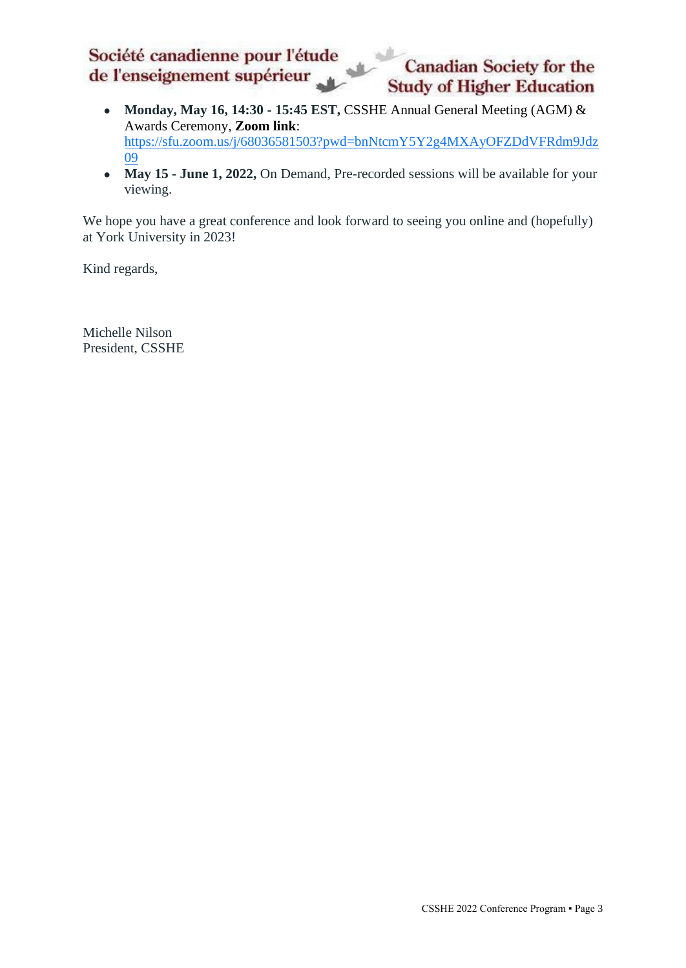#### Société canadienne pour l'étude **Canadian Society for the** de l'enseignement supérieur **Study of Higher Education**

- **Monday, May 16, 14:30 - 15:45 EST,** CSSHE Annual General Meeting (AGM) & Awards Ceremony, **Zoom link**: [https://sfu.zoom.us/j/68036581503?pwd=bnNtcmY5Y2g4MXAyOFZDdVFRdm9Jdz](https://sfu.zoom.us/j/68036581503?pwd=bnNtcmY5Y2g4MXAyOFZDdVFRdm9Jdz09) [09](https://sfu.zoom.us/j/68036581503?pwd=bnNtcmY5Y2g4MXAyOFZDdVFRdm9Jdz09)
- May 15 June 1, 2022, On Demand, Pre-recorded sessions will be available for your viewing.

We hope you have a great conference and look forward to seeing you online and (hopefully) at York University in 2023!

Kind regards,

Michelle Nilson President, CSSHE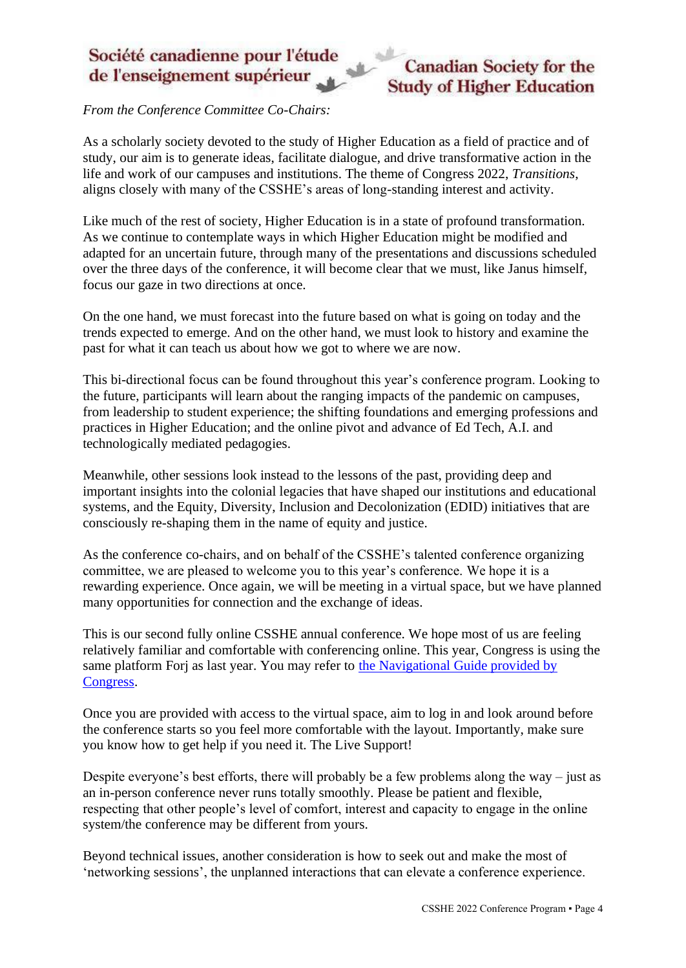

*From the Conference Committee Co-Chairs:*

As a scholarly society devoted to the study of Higher Education as a field of practice and of study, our aim is to generate ideas, facilitate dialogue, and drive transformative action in the life and work of our campuses and institutions. The theme of Congress 2022, *Transitions*, aligns closely with many of the CSSHE's areas of long-standing interest and activity.

Like much of the rest of society, Higher Education is in a state of profound transformation. As we continue to contemplate ways in which Higher Education might be modified and adapted for an uncertain future, through many of the presentations and discussions scheduled over the three days of the conference, it will become clear that we must, like Janus himself, focus our gaze in two directions at once.

On the one hand, we must forecast into the future based on what is going on today and the trends expected to emerge. And on the other hand, we must look to history and examine the past for what it can teach us about how we got to where we are now.

This bi-directional focus can be found throughout this year's conference program. Looking to the future, participants will learn about the ranging impacts of the pandemic on campuses, from leadership to student experience; the shifting foundations and emerging professions and practices in Higher Education; and the online pivot and advance of Ed Tech, A.I. and technologically mediated pedagogies.

Meanwhile, other sessions look instead to the lessons of the past, providing deep and important insights into the colonial legacies that have shaped our institutions and educational systems, and the Equity, Diversity, Inclusion and Decolonization (EDID) initiatives that are consciously re-shaping them in the name of equity and justice.

As the conference co-chairs, and on behalf of the CSSHE's talented conference organizing committee, we are pleased to welcome you to this year's conference. We hope it is a rewarding experience. Once again, we will be meeting in a virtual space, but we have planned many opportunities for connection and the exchange of ideas.

This is our second fully online CSSHE annual conference. We hope most of us are feeling relatively familiar and comfortable with conferencing online. This year, Congress is using the same platform Forj as last year. You may refer to [the Navigational Guide provided by](https://drive.google.com/file/d/1KsCY6Zo2-OZkyvqhiOe6U5cqKmAtCpXa/view?usp=sharing)  [Congress.](https://drive.google.com/file/d/1KsCY6Zo2-OZkyvqhiOe6U5cqKmAtCpXa/view?usp=sharing)

Once you are provided with access to the virtual space, aim to log in and look around before the conference starts so you feel more comfortable with the layout. Importantly, make sure you know how to get help if you need it. The Live Support!

Despite everyone's best efforts, there will probably be a few problems along the way – just as an in-person conference never runs totally smoothly. Please be patient and flexible, respecting that other people's level of comfort, interest and capacity to engage in the online system/the conference may be different from yours.

Beyond technical issues, another consideration is how to seek out and make the most of 'networking sessions', the unplanned interactions that can elevate a conference experience.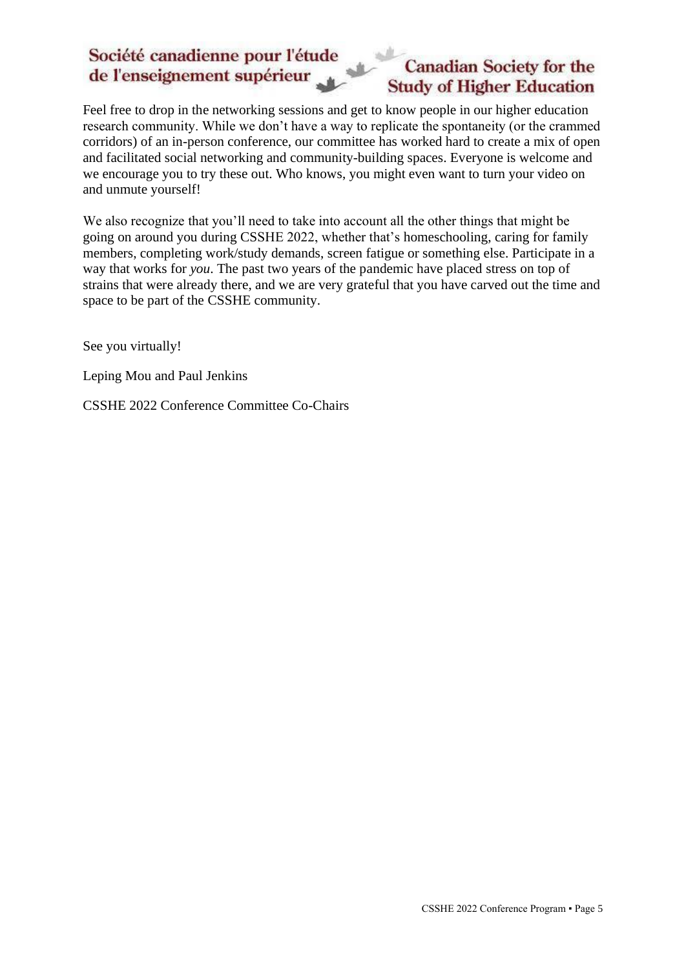# **Canadian Society for the Study of Higher Education**

Feel free to drop in the networking sessions and get to know people in our higher education research community. While we don't have a way to replicate the spontaneity (or the crammed corridors) of an in-person conference, our committee has worked hard to create a mix of open and facilitated social networking and community-building spaces. Everyone is welcome and we encourage you to try these out. Who knows, you might even want to turn your video on and unmute yourself!

We also recognize that you'll need to take into account all the other things that might be going on around you during CSSHE 2022, whether that's homeschooling, caring for family members, completing work/study demands, screen fatigue or something else. Participate in a way that works for *you*. The past two years of the pandemic have placed stress on top of strains that were already there, and we are very grateful that you have carved out the time and space to be part of the CSSHE community.

See you virtually!

Leping Mou and Paul Jenkins

CSSHE 2022 Conference Committee Co-Chairs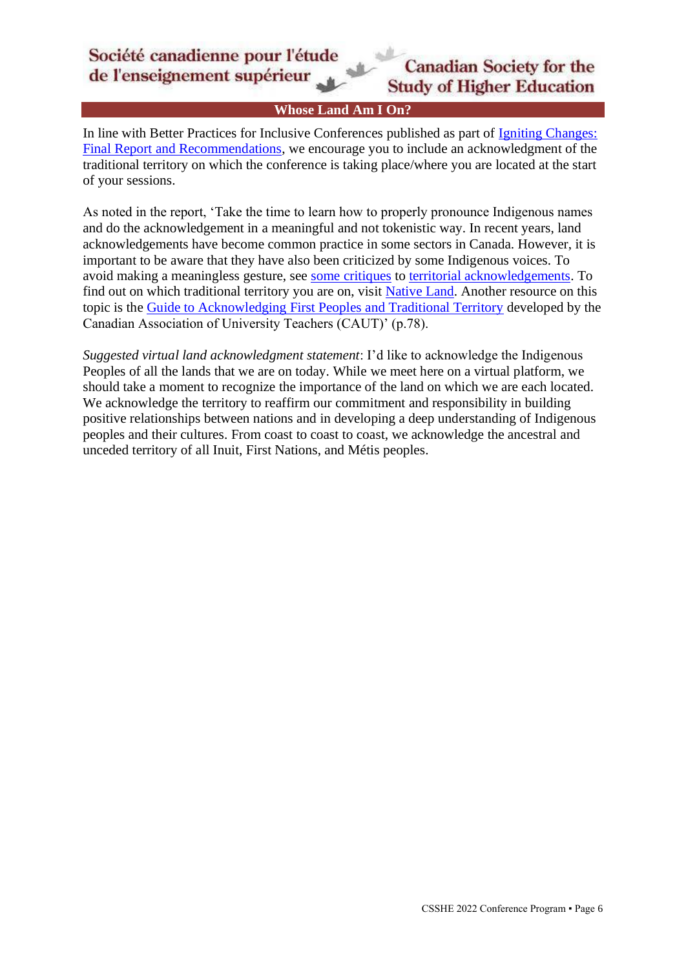**Whose Land Am I On?**

<span id="page-5-0"></span>In line with Better Practices for Inclusive Conferences published as part of [Igniting Changes:](https://www.federationhss.ca/sites/default/files/2021-07/report-faq-en.pdf)  [Final Report and Recommendations,](https://www.federationhss.ca/sites/default/files/2021-07/report-faq-en.pdf) we encourage you to include an acknowledgment of the traditional territory on which the conference is taking place/where you are located at the start of your sessions.

As noted in the report, 'Take the time to learn how to properly pronounce Indigenous names and do the acknowledgement in a meaningful and not tokenistic way. In recent years, land acknowledgements have become common practice in some sectors in Canada. However, it is important to be aware that they have also been criticized by some Indigenous voices. To avoid making a meaningless gesture, see [some critiques](https://apihtawikosisan.com/2016/09/beyond-territorial-acknowledgments/) to [territorial acknowledgements.](https://www.cbc.ca/radio/unreserved/redrawing-the-lines-1.4973363/i-regret-it-hayden-king-on-writing-ryerson-university-s-territorial-acknowledgement-1.4973371) To find out on which traditional territory you are on, visit [Native Land.](https://native-land.ca/) Another resource on this topic is the [Guide to Acknowledging First Peoples and Traditional Territory](https://www.caut.ca/content/guide-acknowledging-first-peoples-traditional-territory) developed by the Canadian Association of University Teachers (CAUT)' (p.78).

*Suggested virtual land acknowledgment statement*: I'd like to acknowledge the Indigenous Peoples of all the lands that we are on today. While we meet here on a virtual platform, we should take a moment to recognize the importance of the land on which we are each located. We acknowledge the territory to reaffirm our commitment and responsibility in building positive relationships between nations and in developing a deep understanding of Indigenous peoples and their cultures. From coast to coast to coast, we acknowledge the ancestral and unceded territory of all Inuit, First Nations, and Métis peoples.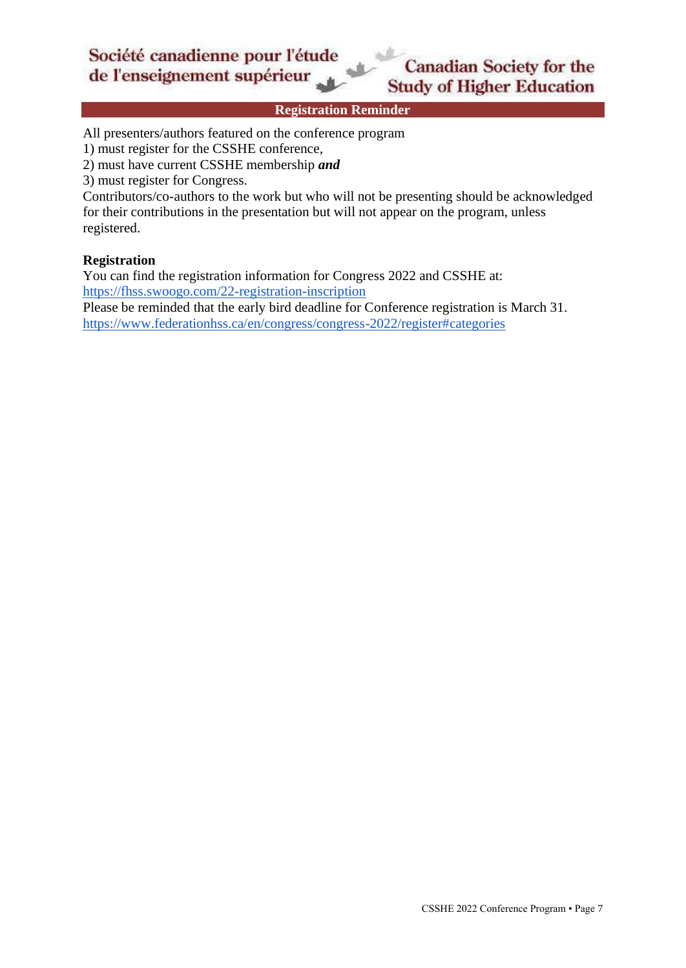**Registration Reminder**

<span id="page-6-0"></span>All presenters/authors featured on the conference program

1) must register for the CSSHE conference,

2) must have current CSSHE membership *and*

3) must register for Congress.

Contributors/co-authors to the work but who will not be presenting should be acknowledged for their contributions in the presentation but will not appear on the program, unless registered.

#### **Registration**

You can find the registration information for Congress 2022 and CSSHE at: <https://fhss.swoogo.com/22-registration-inscription>

Please be reminded that the early bird deadline for Conference registration is March 31. <https://www.federationhss.ca/en/congress/congress-2022/register#categories>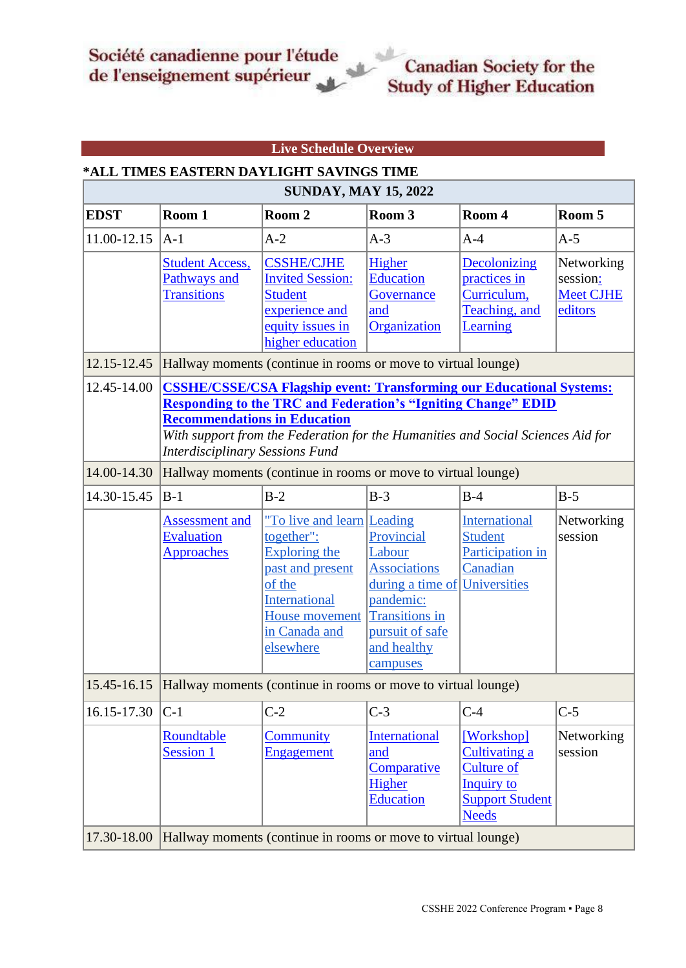#### **Live Schedule Overview**

#### <span id="page-7-0"></span>**\*ALL TIMES EASTERN DAYLIGHT SAVINGS TIME**

| <b>SUNDAY, MAY 15, 2022</b> |                                                                                                                                                                                                                                                                                                                                                                                          |                                                                                                                                                                        |                                                                                                                                                     |                                                                                                                        |                                                       |
|-----------------------------|------------------------------------------------------------------------------------------------------------------------------------------------------------------------------------------------------------------------------------------------------------------------------------------------------------------------------------------------------------------------------------------|------------------------------------------------------------------------------------------------------------------------------------------------------------------------|-----------------------------------------------------------------------------------------------------------------------------------------------------|------------------------------------------------------------------------------------------------------------------------|-------------------------------------------------------|
| <b>EDST</b>                 | Room 1                                                                                                                                                                                                                                                                                                                                                                                   | Room 2                                                                                                                                                                 | Room 3                                                                                                                                              | Room 4                                                                                                                 | Room 5                                                |
| 11.00-12.15                 | $ A-1 $                                                                                                                                                                                                                                                                                                                                                                                  | $A-2$                                                                                                                                                                  | $A-3$                                                                                                                                               | $A-4$                                                                                                                  | $A-5$                                                 |
|                             | <b>Student Access,</b><br>Pathways and<br><b>Transitions</b>                                                                                                                                                                                                                                                                                                                             | <b>CSSHE/CJHE</b><br><b>Invited Session:</b><br><b>Student</b><br>experience and<br>equity issues in<br>higher education                                               | Higher<br><b>Education</b><br>Governance<br>and<br>Organization                                                                                     | Decolonizing<br>practices in<br>Curriculum,<br>Teaching, and<br>Learning                                               | Networking<br>session:<br><b>Meet CJHE</b><br>editors |
| 12.15-12.45                 |                                                                                                                                                                                                                                                                                                                                                                                          | Hallway moments (continue in rooms or move to virtual lounge)                                                                                                          |                                                                                                                                                     |                                                                                                                        |                                                       |
| 12.45-14.00<br>14.00-14.30  | <b>CSSHE/CSSE/CSA Flagship event: Transforming our Educational Systems:</b><br><b>Responding to the TRC and Federation's "Igniting Change" EDID</b><br><b>Recommendations in Education</b><br>With support from the Federation for the Humanities and Social Sciences Aid for<br><b>Interdisciplinary Sessions Fund</b><br>Hallway moments (continue in rooms or move to virtual lounge) |                                                                                                                                                                        |                                                                                                                                                     |                                                                                                                        |                                                       |
| 14.30-15.45                 | $B-1$                                                                                                                                                                                                                                                                                                                                                                                    | $B-2$                                                                                                                                                                  | $B-3$                                                                                                                                               | $B-4$                                                                                                                  | $B-5$                                                 |
|                             | <b>Assessment and</b><br><b>Evaluation</b><br><b>Approaches</b>                                                                                                                                                                                                                                                                                                                          | "To live and learn Leading<br>together":<br><b>Exploring the</b><br>past and present<br>of the<br><b>International</b><br>House movement<br>in Canada and<br>elsewhere | Provincial<br>Labour<br><b>Associations</b><br>during a time of<br>pandemic:<br><b>Transitions</b> in<br>pursuit of safe<br>and healthy<br>campuses | International<br><b>Student</b><br>Participation in<br>Canadian<br>Universities                                        | Networking<br>session                                 |
| 15.45-16.15                 |                                                                                                                                                                                                                                                                                                                                                                                          | Hallway moments (continue in rooms or move to virtual lounge)                                                                                                          |                                                                                                                                                     |                                                                                                                        |                                                       |
| 16.15-17.30                 | $ C-1 $                                                                                                                                                                                                                                                                                                                                                                                  | $C-2$                                                                                                                                                                  | $C-3$                                                                                                                                               | $C-4$                                                                                                                  | $C-5$                                                 |
|                             | Roundtable<br>Session 1                                                                                                                                                                                                                                                                                                                                                                  | <b>Community</b><br>Engagement                                                                                                                                         | <b>International</b><br>and<br>Comparative<br>Higher<br><b>Education</b>                                                                            | [Workshop]<br><b>Cultivating a</b><br><b>Culture of</b><br><b>Inquiry to</b><br><b>Support Student</b><br><b>Needs</b> | Networking<br>session                                 |
| 17.30-18.00                 | Hallway moments (continue in rooms or move to virtual lounge)                                                                                                                                                                                                                                                                                                                            |                                                                                                                                                                        |                                                                                                                                                     |                                                                                                                        |                                                       |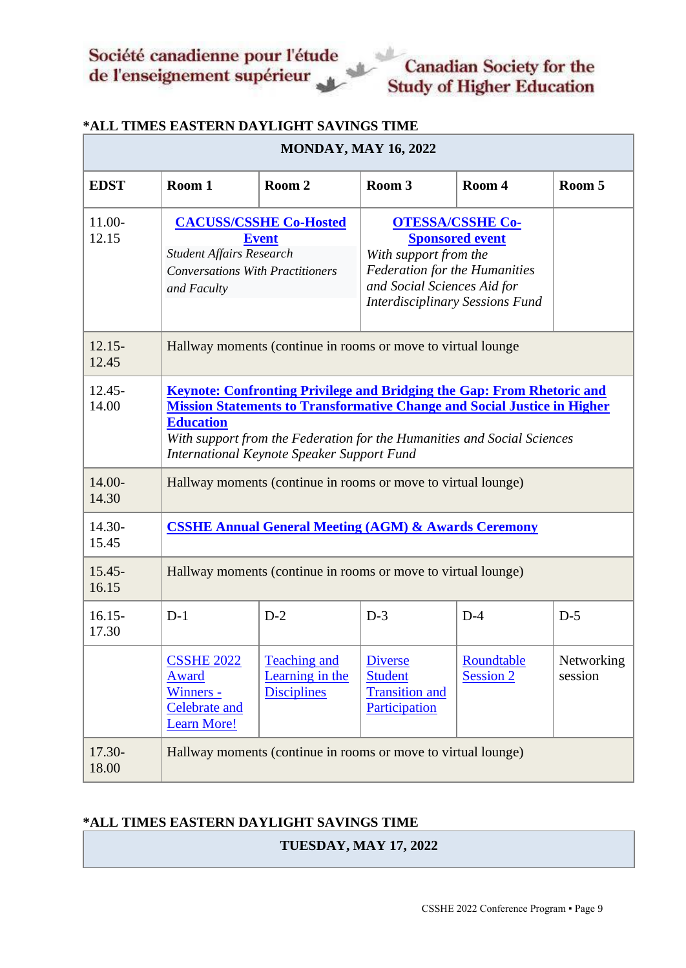| <b>MONDAY, MAY 16, 2022</b> |                                                                                                                                                                                                                                                                                                                      |                                                              |                                                                                                                                                                                             |                                |                       |
|-----------------------------|----------------------------------------------------------------------------------------------------------------------------------------------------------------------------------------------------------------------------------------------------------------------------------------------------------------------|--------------------------------------------------------------|---------------------------------------------------------------------------------------------------------------------------------------------------------------------------------------------|--------------------------------|-----------------------|
| <b>EDST</b>                 | Room 1                                                                                                                                                                                                                                                                                                               | Room 2                                                       | Room 3                                                                                                                                                                                      | Room 4                         | Room 5                |
| 11.00-<br>12.15             | <b>CACUSS/CSSHE Co-Hosted</b><br><b>Event</b><br><b>Student Affairs Research</b><br><b>Conversations With Practitioners</b><br>and Faculty                                                                                                                                                                           |                                                              | <b>OTESSA/CSSHE Co-</b><br><b>Sponsored event</b><br>With support from the<br><b>Federation for the Humanities</b><br>and Social Sciences Aid for<br><b>Interdisciplinary Sessions Fund</b> |                                |                       |
| $12.15 -$<br>12.45          |                                                                                                                                                                                                                                                                                                                      | Hallway moments (continue in rooms or move to virtual lounge |                                                                                                                                                                                             |                                |                       |
| $12.45 -$<br>14.00          | <b>Keynote: Confronting Privilege and Bridging the Gap: From Rhetoric and</b><br><b>Mission Statements to Transformative Change and Social Justice in Higher</b><br><b>Education</b><br>With support from the Federation for the Humanities and Social Sciences<br><b>International Keynote Speaker Support Fund</b> |                                                              |                                                                                                                                                                                             |                                |                       |
| 14.00-<br>14.30             | Hallway moments (continue in rooms or move to virtual lounge)                                                                                                                                                                                                                                                        |                                                              |                                                                                                                                                                                             |                                |                       |
| $14.30-$<br>15.45           | <b>CSSHE Annual General Meeting (AGM) &amp; Awards Ceremony</b>                                                                                                                                                                                                                                                      |                                                              |                                                                                                                                                                                             |                                |                       |
| $15.45 -$<br>16.15          | Hallway moments (continue in rooms or move to virtual lounge)                                                                                                                                                                                                                                                        |                                                              |                                                                                                                                                                                             |                                |                       |
| $16.15 -$<br>17.30          | $D-1$                                                                                                                                                                                                                                                                                                                | $D-2$                                                        | $D-3$                                                                                                                                                                                       | $D-4$                          | $D-5$                 |
|                             | <b>CSSHE 2022</b><br>Award<br>Winners -<br><b>Celebrate and</b><br><b>Learn More!</b>                                                                                                                                                                                                                                | <b>Teaching and</b><br>Learning in the<br><b>Disciplines</b> | <b>Diverse</b><br><b>Student</b><br><b>Transition and</b><br>Participation                                                                                                                  | Roundtable<br><b>Session 2</b> | Networking<br>session |
| 17.30-<br>18.00             | Hallway moments (continue in rooms or move to virtual lounge)                                                                                                                                                                                                                                                        |                                                              |                                                                                                                                                                                             |                                |                       |

## **\*ALL TIMES EASTERN DAYLIGHT SAVINGS TIME**

## **\*ALL TIMES EASTERN DAYLIGHT SAVINGS TIME**

**TUESDAY, MAY 17, 2022**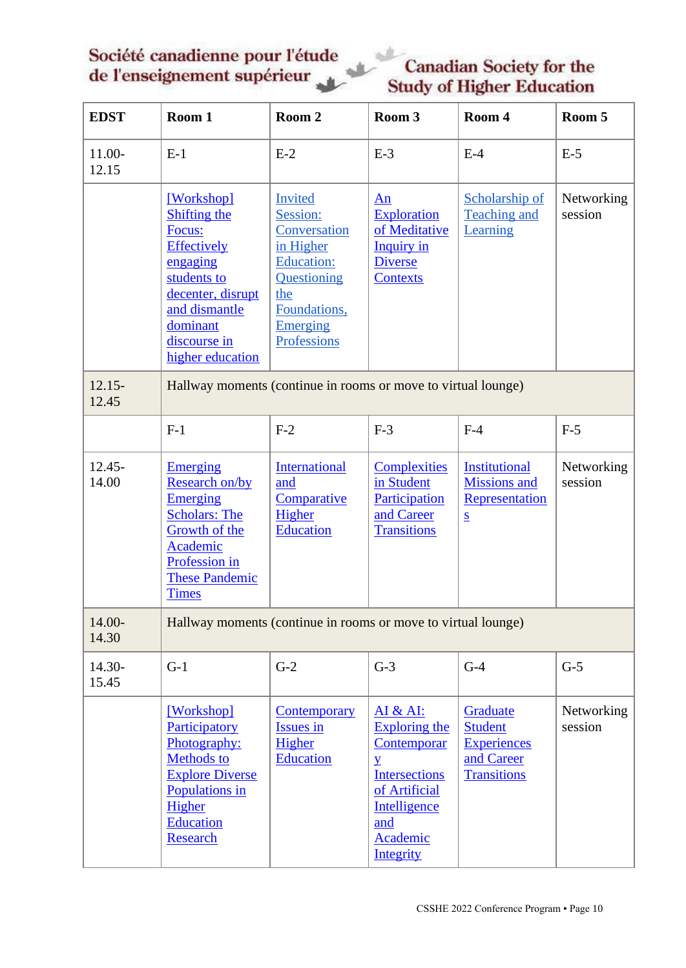# **Canadian Society for the Study of Higher Education**

| <b>EDST</b>        | Room 1                                                                                                                                                                      | Room 2                                                                                                                                        | Room 3                                                                                                                                                            | Room 4                                                                                    | Room 5                |
|--------------------|-----------------------------------------------------------------------------------------------------------------------------------------------------------------------------|-----------------------------------------------------------------------------------------------------------------------------------------------|-------------------------------------------------------------------------------------------------------------------------------------------------------------------|-------------------------------------------------------------------------------------------|-----------------------|
| $11.00-$<br>12.15  | $E-1$                                                                                                                                                                       | $E-2$                                                                                                                                         | $E-3$                                                                                                                                                             | $E-4$                                                                                     | $E-5$                 |
|                    | [Workshop]<br>Shifting the<br>Focus:<br><b>Effectively</b><br>engaging<br>students to<br>decenter, disrupt<br>and dismantle<br>dominant<br>discourse in<br>higher education | <b>Invited</b><br>Session:<br>Conversation<br>in Higher<br><b>Education:</b><br>Questioning<br>the<br>Foundations,<br>Emerging<br>Professions | An<br><b>Exploration</b><br>of Meditative<br><b>Inquiry</b> in<br><b>Diverse</b><br><b>Contexts</b>                                                               | Scholarship of<br>Teaching and<br>Learning                                                | Networking<br>session |
| $12.15 -$<br>12.45 | Hallway moments (continue in rooms or move to virtual lounge)                                                                                                               |                                                                                                                                               |                                                                                                                                                                   |                                                                                           |                       |
|                    | $F-1$                                                                                                                                                                       | $F-2$                                                                                                                                         | $F-3$                                                                                                                                                             | $F-4$                                                                                     | $F-5$                 |
| 12.45-<br>14.00    | <b>Emerging</b><br>Research on/by<br><b>Emerging</b><br><b>Scholars: The</b><br>Growth of the<br>Academic<br>Profession in<br><b>These Pandemic</b><br><b>Times</b>         | <b>International</b><br>and<br>Comparative<br>Higher<br><b>Education</b>                                                                      | <b>Complexities</b><br>in Student<br>Participation<br>and Career<br><b>Transitions</b>                                                                            | <b>Institutional</b><br><b>Missions</b> and<br>Representation<br>$\underline{\mathbf{S}}$ | Networking<br>session |
| 14.00-<br>14.30    | Hallway moments (continue in rooms or move to virtual lounge)                                                                                                               |                                                                                                                                               |                                                                                                                                                                   |                                                                                           |                       |
| 14.30-<br>15.45    | $G-1$                                                                                                                                                                       | $G-2$                                                                                                                                         | $G-3$                                                                                                                                                             | $G-4$                                                                                     | $G-5$                 |
|                    | [Workshop]<br>Participatory<br>Photography:<br><b>Methods to</b><br><b>Explore Diverse</b><br>Populations in<br>Higher<br><b>Education</b><br><b>Research</b>               | <b>Contemporary</b><br>Issues in<br>Higher<br><b>Education</b>                                                                                | AI & AI:<br><b>Exploring the</b><br><b>Contemporar</b><br>$\overline{Y}$<br><b>Intersections</b><br>of Artificial<br>Intelligence<br>and<br>Academic<br>Integrity | Graduate<br><b>Student</b><br><b>Experiences</b><br>and Career<br><b>Transitions</b>      | Networking<br>session |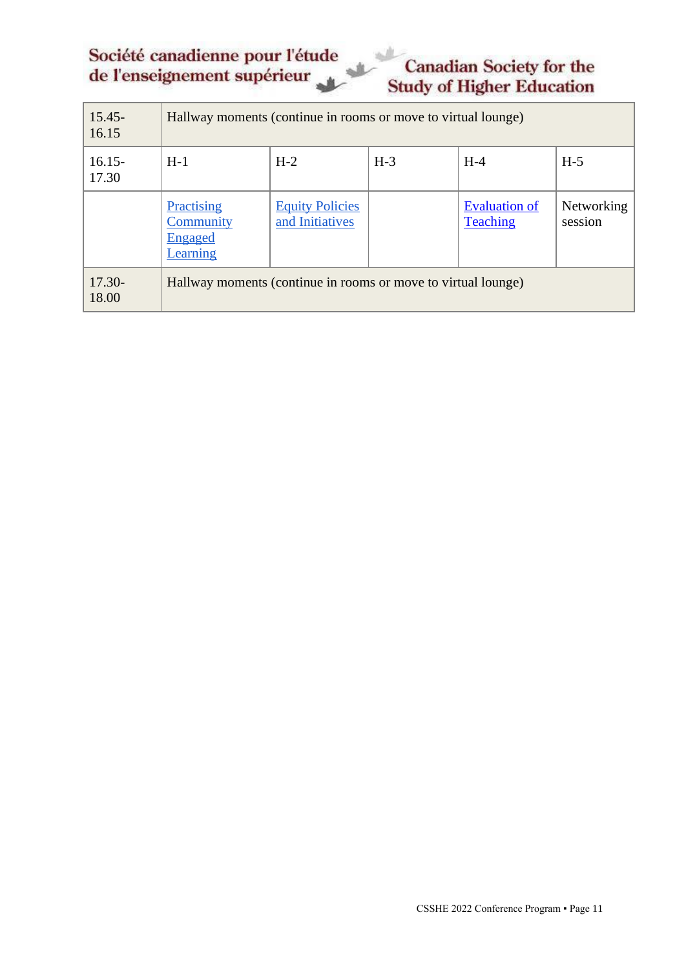# **Canadian Society for the Study of Higher Education**

| $15.45 -$<br>16.15 | Hallway moments (continue in rooms or move to virtual lounge) |                                           |       |                                         |                              |
|--------------------|---------------------------------------------------------------|-------------------------------------------|-------|-----------------------------------------|------------------------------|
| $16.15 -$<br>17.30 | $H-1$                                                         | $H-2$                                     | $H-3$ | $H-4$                                   | $H-5$                        |
|                    | Practising<br>Community<br><u>Engaged</u><br>Learning         | <b>Equity Policies</b><br>and Initiatives |       | <b>Evaluation of</b><br><b>Teaching</b> | <b>Networking</b><br>session |
| $17.30-$<br>18.00  | Hallway moments (continue in rooms or move to virtual lounge) |                                           |       |                                         |                              |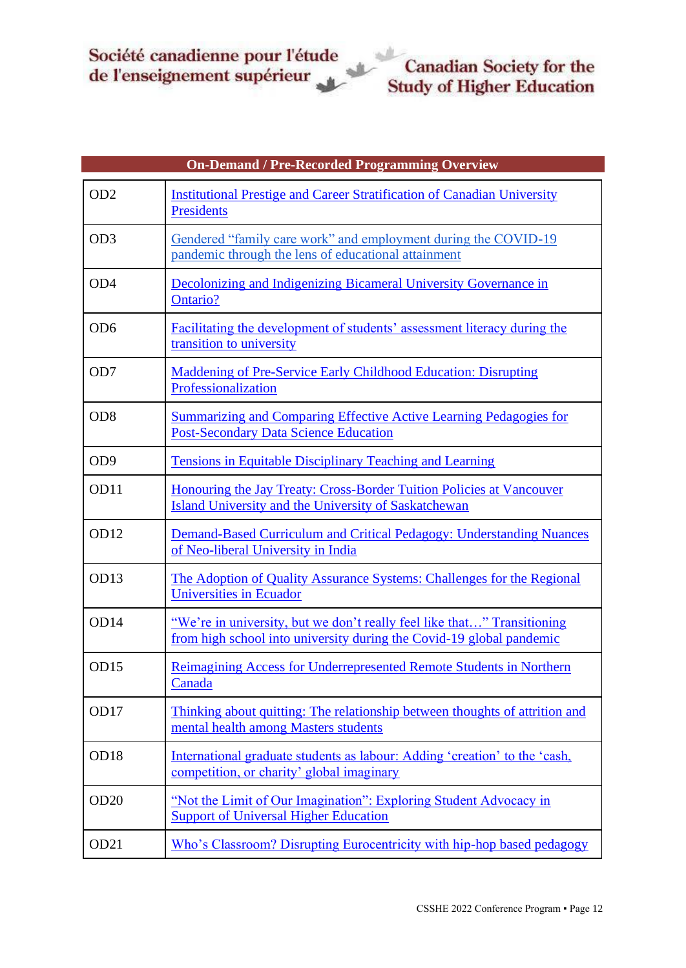<span id="page-11-0"></span>

|                  | <b>On-Demand / Pre-Recorded Programming Overview</b>                                                                                            |
|------------------|-------------------------------------------------------------------------------------------------------------------------------------------------|
| OD <sub>2</sub>  | <b>Institutional Prestige and Career Stratification of Canadian University</b><br><b>Presidents</b>                                             |
| OD <sub>3</sub>  | Gendered "family care work" and employment during the COVID-19<br>pandemic through the lens of educational attainment                           |
| OD <sub>4</sub>  | Decolonizing and Indigenizing Bicameral University Governance in<br>Ontario?                                                                    |
| OD <sub>6</sub>  | Facilitating the development of students' assessment literacy during the<br>transition to university                                            |
| OD7              | <b>Maddening of Pre-Service Early Childhood Education: Disrupting</b><br>Professionalization                                                    |
| OD <sub>8</sub>  | Summarizing and Comparing Effective Active Learning Pedagogies for<br><b>Post-Secondary Data Science Education</b>                              |
| OD <sub>9</sub>  | <b>Tensions in Equitable Disciplinary Teaching and Learning</b>                                                                                 |
| OD11             | Honouring the Jay Treaty: Cross-Border Tuition Policies at Vancouver<br><b>Island University and the University of Saskatchewan</b>             |
| <b>OD12</b>      | Demand-Based Curriculum and Critical Pedagogy: Understanding Nuances<br>of Neo-liberal University in India                                      |
| OD13             | The Adoption of Quality Assurance Systems: Challenges for the Regional<br>Universities in Ecuador                                               |
| OD14             | "We're in university, but we don't really feel like that" Transitioning<br>from high school into university during the Covid-19 global pandemic |
| OD15             | Reimagining Access for Underrepresented Remote Students in Northern<br>Canada                                                                   |
| OD17             | Thinking about quitting: The relationship between thoughts of attrition and<br>mental health among Masters students                             |
| OD18             | International graduate students as labour: Adding 'creation' to the 'cash,<br>competition, or charity' global imaginary                         |
| <b>OD20</b>      | "Not the Limit of Our Imagination": Exploring Student Advocacy in<br><b>Support of Universal Higher Education</b>                               |
| OD <sub>21</sub> | Who's Classroom? Disrupting Eurocentricity with hip-hop based pedagogy                                                                          |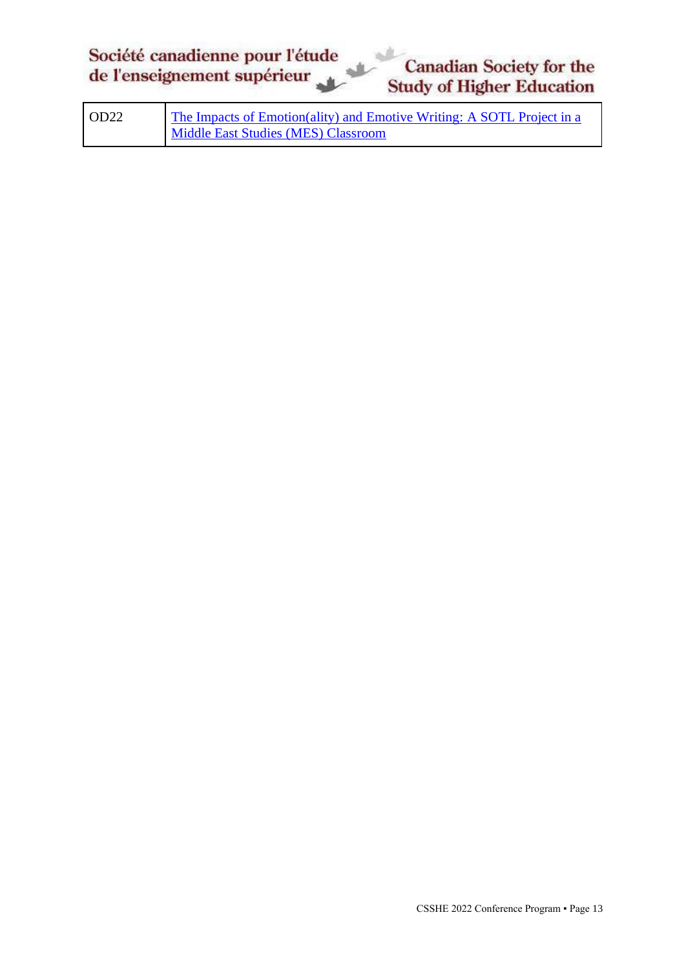| OD22 | The Impacts of Emotion(ality) and Emotive Writing: A SOTL Project in a |
|------|------------------------------------------------------------------------|
|      | Middle East Studies (MES) Classroom                                    |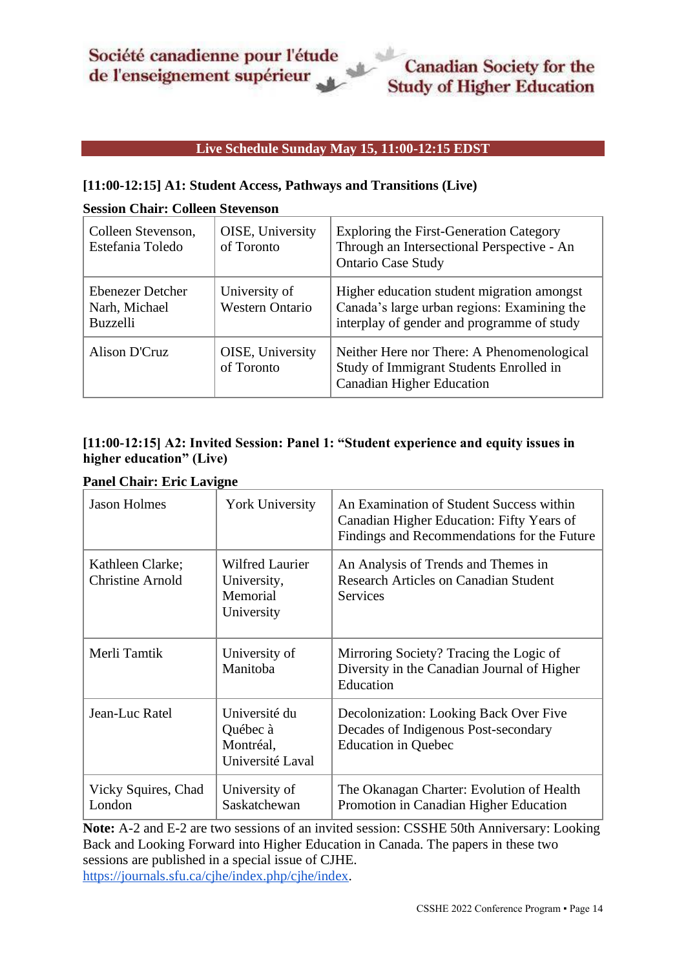### **Live Schedule Sunday May 15, 11:00-12:15 EDST**

#### <span id="page-13-1"></span><span id="page-13-0"></span>**[11:00-12:15] A1: Student Access, Pathways and Transitions (Live)**

#### **Session Chair: Colleen Stevenson**

| Colleen Stevenson,<br>Estefania Toledo               | OISE, University<br>of Toronto          | <b>Exploring the First-Generation Category</b><br>Through an Intersectional Perspective - An<br><b>Ontario Case Study</b>               |
|------------------------------------------------------|-----------------------------------------|-----------------------------------------------------------------------------------------------------------------------------------------|
| Ebenezer Detcher<br>Narh, Michael<br><b>Buzzelli</b> | University of<br><b>Western Ontario</b> | Higher education student migration amongst<br>Canada's large urban regions: Examining the<br>interplay of gender and programme of study |
| Alison D'Cruz                                        | OISE, University<br>of Toronto          | Neither Here nor There: A Phenomenological<br>Study of Immigrant Students Enrolled in<br><b>Canadian Higher Education</b>               |

## <span id="page-13-2"></span>**[11:00-12:15] A2: Invited Session: Panel 1: "Student experience and equity issues in higher education" (Live)**

# **Panel Chair: Eric Lavigne**

| <b>Jason Holmes</b>                         | <b>York University</b>                                          | An Examination of Student Success within<br>Canadian Higher Education: Fifty Years of<br>Findings and Recommendations for the Future |
|---------------------------------------------|-----------------------------------------------------------------|--------------------------------------------------------------------------------------------------------------------------------------|
| Kathleen Clarke;<br><b>Christine Arnold</b> | <b>Wilfred Laurier</b><br>University,<br>Memorial<br>University | An Analysis of Trends and Themes in<br><b>Research Articles on Canadian Student</b><br><b>Services</b>                               |
| Merli Tamtik                                | University of<br>Manitoba                                       | Mirroring Society? Tracing the Logic of<br>Diversity in the Canadian Journal of Higher<br>Education                                  |
| Jean-Luc Ratel                              | Université du<br>Québec à<br>Montréal,<br>Université Laval      | Decolonization: Looking Back Over Five<br>Decades of Indigenous Post-secondary<br><b>Education in Quebec</b>                         |
| Vicky Squires, Chad<br>London               | University of<br>Saskatchewan                                   | The Okanagan Charter: Evolution of Health<br>Promotion in Canadian Higher Education                                                  |

**Note:** A-2 and E-2 are two sessions of an invited session: CSSHE 50th Anniversary: Looking Back and Looking Forward into Higher Education in Canada. The papers in these two sessions are published in a special issue of CJHE[.](https://can01.safelinks.protection.outlook.com/?url=https%3A%2F%2Fjournals.sfu.ca%2Fcjhe%2Findex.php%2Fcjhe%2Findex&data=04%7C01%7Cleping.mou%40mail.utoronto.ca%7Cd1041f1e422647521ca508da07649619%7C78aac2262f034b4d9037b46d56c55210%7C0%7C0%7C637830425858866083%7CUnknown%7CTWFpbGZsb3d8eyJWIjoiMC4wLjAwMDAiLCJQIjoiV2luMzIiLCJBTiI6Ik1haWwiLCJXVCI6Mn0%3D%7C3000&sdata=DSsxkK2QUNlO%2BDkHt2AHfGWpYT4I%2BoVO3MNxJZH3mcM%3D&reserved=0) [https://journals.sfu.ca/cjhe/index.php/cjhe/index.](https://can01.safelinks.protection.outlook.com/?url=https%3A%2F%2Fjournals.sfu.ca%2Fcjhe%2Findex.php%2Fcjhe%2Findex&data=04%7C01%7Cleping.mou%40mail.utoronto.ca%7Cd1041f1e422647521ca508da07649619%7C78aac2262f034b4d9037b46d56c55210%7C0%7C0%7C637830425858866083%7CUnknown%7CTWFpbGZsb3d8eyJWIjoiMC4wLjAwMDAiLCJQIjoiV2luMzIiLCJBTiI6Ik1haWwiLCJXVCI6Mn0%3D%7C3000&sdata=DSsxkK2QUNlO%2BDkHt2AHfGWpYT4I%2BoVO3MNxJZH3mcM%3D&reserved=0)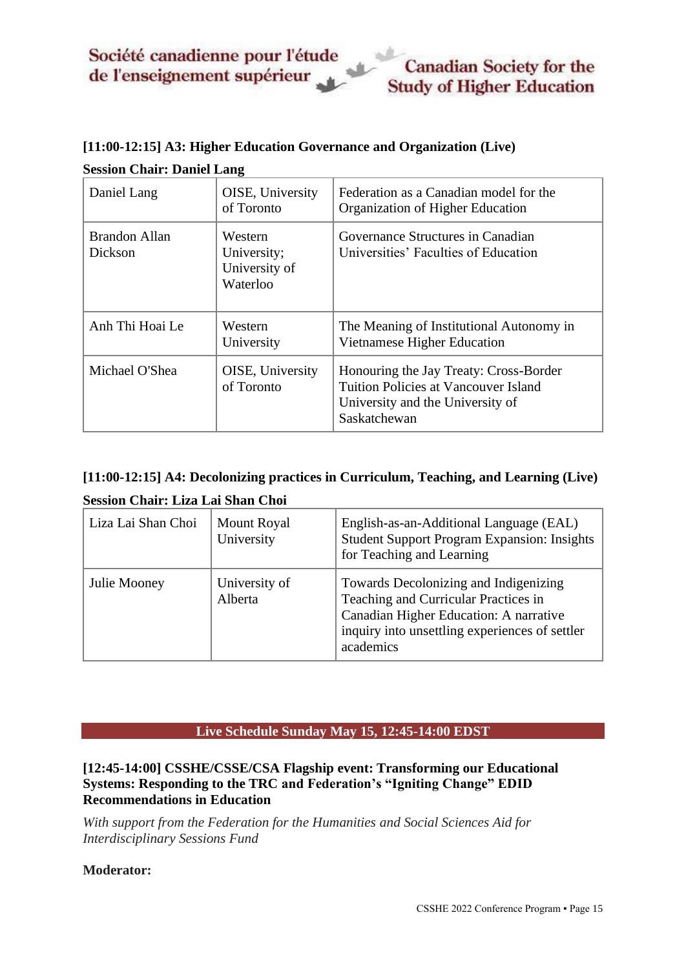# <span id="page-14-1"></span>**[11:00-12:15] A3: Higher Education Governance and Organization (Live) Session Chair: Daniel Lang**

| Daniel Lang                     | OISE, University<br>of Toronto                      | Federation as a Canadian model for the<br>Organization of Higher Education                                                                |
|---------------------------------|-----------------------------------------------------|-------------------------------------------------------------------------------------------------------------------------------------------|
| <b>Brandon Allan</b><br>Dickson | Western<br>University;<br>University of<br>Waterloo | Governance Structures in Canadian<br>Universities' Faculties of Education                                                                 |
| Anh Thi Hoai Le                 | Western<br>University                               | The Meaning of Institutional Autonomy in<br>Vietnamese Higher Education                                                                   |
| Michael O'Shea                  | <b>OISE</b> , University<br>of Toronto              | Honouring the Jay Treaty: Cross-Border<br><b>Tuition Policies at Vancouver Island</b><br>University and the University of<br>Saskatchewan |

# <span id="page-14-2"></span>**[11:00-12:15] A4: Decolonizing practices in Curriculum, Teaching, and Learning (Live) Session Chair: Liza Lai Shan Choi**

| Liza Lai Shan Choi | <b>Mount Royal</b><br>University | English-as-an-Additional Language (EAL)<br><b>Student Support Program Expansion: Insights</b><br>for Teaching and Learning                                                             |
|--------------------|----------------------------------|----------------------------------------------------------------------------------------------------------------------------------------------------------------------------------------|
| Julie Mooney       | University of<br>Alberta         | Towards Decolonizing and Indigenizing<br>Teaching and Curricular Practices in<br>Canadian Higher Education: A narrative<br>inquiry into unsettling experiences of settler<br>academics |

#### **Live Schedule Sunday May 15, 12:45-14:00 EDST**

#### <span id="page-14-3"></span><span id="page-14-0"></span>**[12:45-14:00] CSSHE/CSSE/CSA Flagship event: Transforming our Educational Systems: Responding to the TRC and Federation's "Igniting Change" EDID Recommendations in Education**

*With support from the Federation for the Humanities and Social Sciences Aid for Interdisciplinary Sessions Fund*

#### **Moderator:**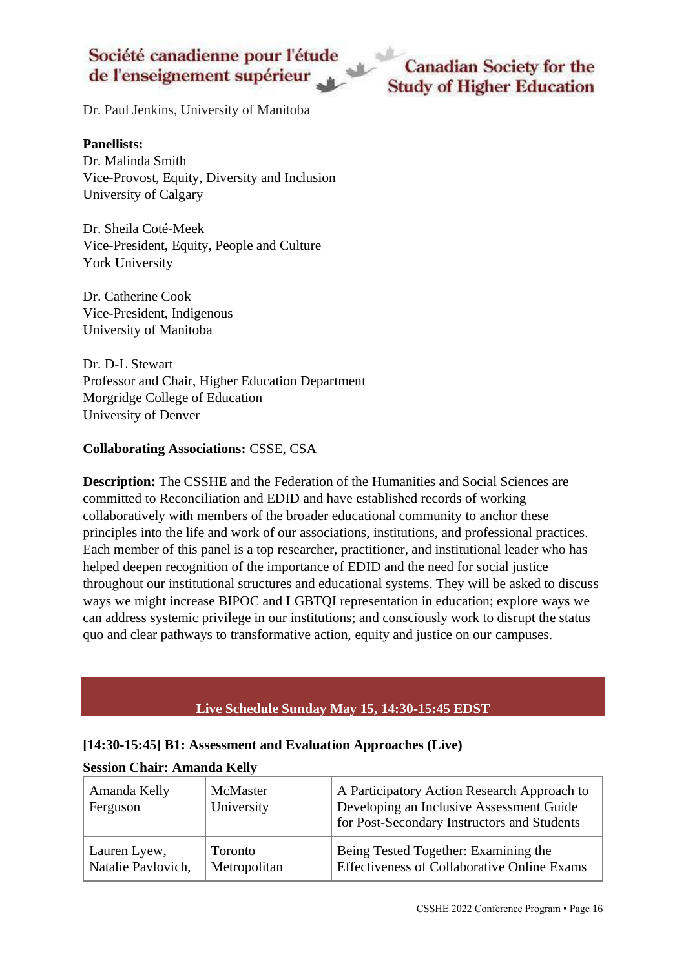Dr. Paul Jenkins, University of Manitoba

#### **Panellists:**

Dr. Malinda Smith Vice-Provost, Equity, Diversity and Inclusion University of Calgary

Dr. Sheila Coté-Meek Vice-President, Equity, People and Culture York University

Dr. Catherine Cook Vice-President, Indigenous University of Manitoba

Dr. D-L Stewart Professor and Chair, Higher Education Department Morgridge College of Education University of Denver

#### **Collaborating Associations:** CSSE, CSA

**Description:** The CSSHE and the Federation of the Humanities and Social Sciences are committed to Reconciliation and EDID and have established records of working collaboratively with members of the broader educational community to anchor these principles into the life and work of our associations, institutions, and professional practices. Each member of this panel is a top researcher, practitioner, and institutional leader who has helped deepen recognition of the importance of EDID and the need for social justice throughout our institutional structures and educational systems. They will be asked to discuss ways we might increase BIPOC and LGBTQI representation in education; explore ways we can address systemic privilege in our institutions; and consciously work to disrupt the status quo and clear pathways to transformative action, equity and justice on our campuses.

#### **Live Schedule Sunday May 15, 14:30-15:45 EDST**

#### <span id="page-15-1"></span><span id="page-15-0"></span>**[14:30-15:45] B1: Assessment and Evaluation Approaches (Live)**

#### **Session Chair: Amanda Kelly**

| Amanda Kelly<br>Ferguson | McMaster<br>University | A Participatory Action Research Approach to<br>Developing an Inclusive Assessment Guide<br>for Post-Secondary Instructors and Students |
|--------------------------|------------------------|----------------------------------------------------------------------------------------------------------------------------------------|
| Lauren Lyew,             | Toronto                | Being Tested Together: Examining the                                                                                                   |
| Natalie Pavlovich,       | Metropolitan           | <b>Effectiveness of Collaborative Online Exams</b>                                                                                     |

**Canadian Society for the Study of Higher Education**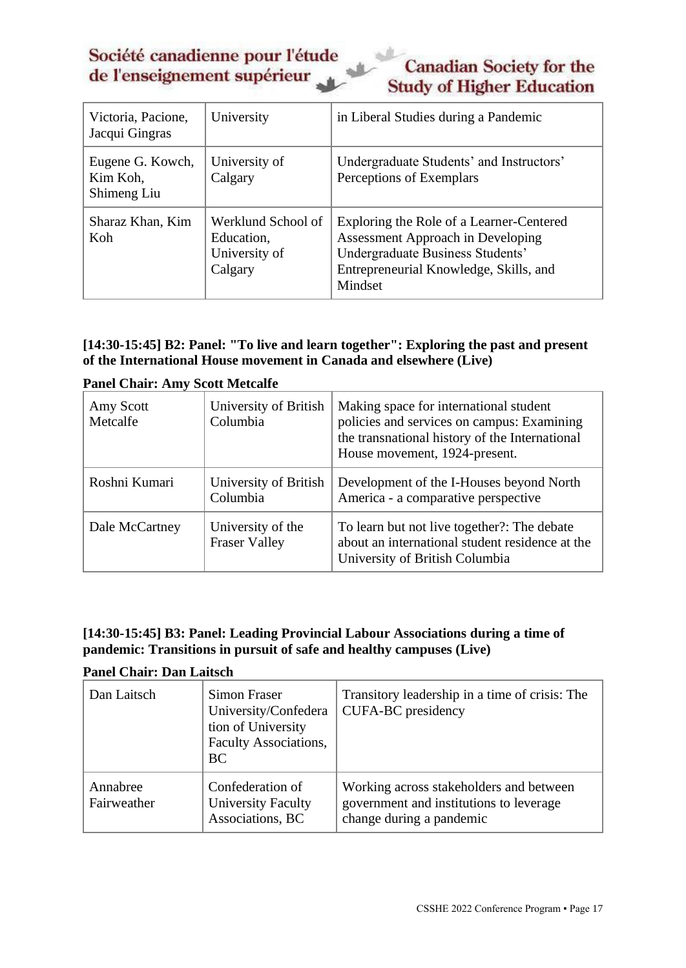# **Canadian Society for the Study of Higher Education**

| Victoria, Pacione,<br>Jacqui Gingras        | University                                                   | in Liberal Studies during a Pandemic                                                                                                                                          |
|---------------------------------------------|--------------------------------------------------------------|-------------------------------------------------------------------------------------------------------------------------------------------------------------------------------|
| Eugene G. Kowch,<br>Kim Koh,<br>Shimeng Liu | University of<br>Calgary                                     | Undergraduate Students' and Instructors'<br>Perceptions of Exemplars                                                                                                          |
| Sharaz Khan, Kim<br>Koh                     | Werklund School of<br>Education,<br>University of<br>Calgary | Exploring the Role of a Learner-Centered<br><b>Assessment Approach in Developing</b><br>Undergraduate Business Students'<br>Entrepreneurial Knowledge, Skills, and<br>Mindset |

## <span id="page-16-0"></span>**[14:30-15:45] B2: Panel: "To live and learn together": Exploring the past and present of the International House movement in Canada and elsewhere (Live)**

| I anci Chan . Amy bebu incleanc |                                           |                                                                                                                                                                         |
|---------------------------------|-------------------------------------------|-------------------------------------------------------------------------------------------------------------------------------------------------------------------------|
| Amy Scott<br>Metcalfe           | University of British<br>Columbia         | Making space for international student<br>policies and services on campus: Examining<br>the transnational history of the International<br>House movement, 1924-present. |
| Roshni Kumari                   | University of British<br>Columbia         | Development of the I-Houses beyond North<br>America - a comparative perspective                                                                                         |
| Dale McCartney                  | University of the<br><b>Fraser Valley</b> | To learn but not live together?: The debate<br>about an international student residence at the<br>University of British Columbia                                        |

**Panel Chair: Amy Scott Metcalfe**

## <span id="page-16-1"></span>**[14:30-15:45] B3: Panel: Leading Provincial Labour Associations during a time of pandemic: Transitions in pursuit of safe and healthy campuses (Live)**

#### **Panel Chair: Dan Laitsch**

| Dan Laitsch             | <b>Simon Fraser</b><br>University/Confedera<br>tion of University<br>Faculty Associations,<br><b>BC</b> | Transitory leadership in a time of crisis: The<br>CUFA-BC presidency                                           |
|-------------------------|---------------------------------------------------------------------------------------------------------|----------------------------------------------------------------------------------------------------------------|
| Annabree<br>Fairweather | Confederation of<br><b>University Faculty</b><br>Associations, BC                                       | Working across stakeholders and between<br>government and institutions to leverage<br>change during a pandemic |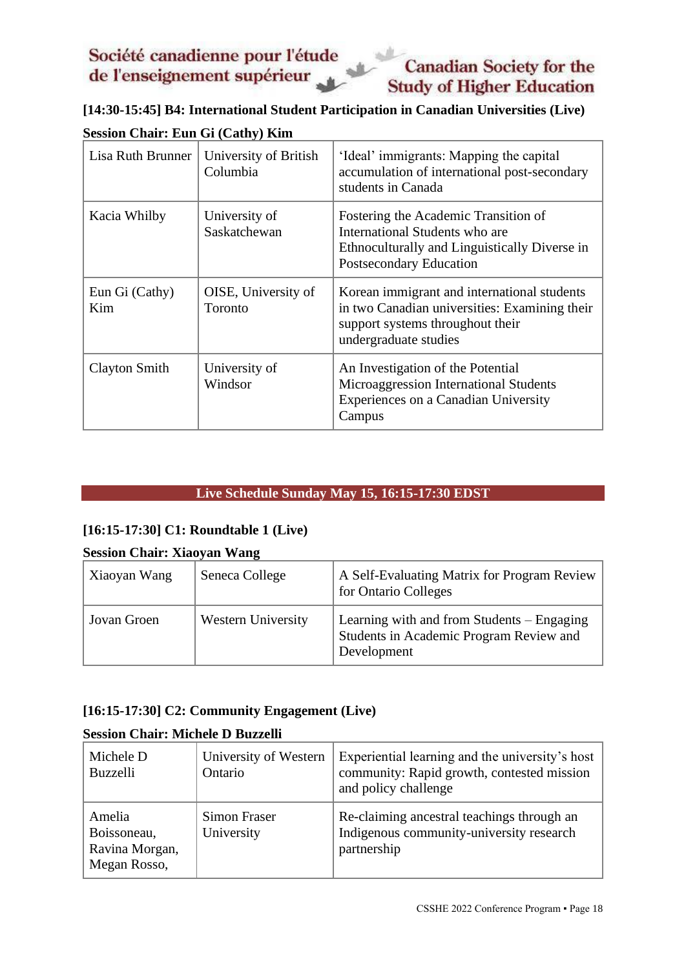# **Canadian Society for the Study of Higher Education**

<span id="page-17-1"></span>**[14:30-15:45] B4: International Student Participation in Canadian Universities (Live)**

| Lisa Ruth Brunner     | University of British<br>Columbia | 'Ideal' immigrants: Mapping the capital<br>accumulation of international post-secondary<br>students in Canada                                             |
|-----------------------|-----------------------------------|-----------------------------------------------------------------------------------------------------------------------------------------------------------|
| Kacia Whilby          | University of<br>Saskatchewan     | Fostering the Academic Transition of<br>International Students who are<br>Ethnoculturally and Linguistically Diverse in<br>Postsecondary Education        |
| Eun Gi (Cathy)<br>Kim | OISE, University of<br>Toronto    | Korean immigrant and international students<br>in two Canadian universities: Examining their<br>support systems throughout their<br>undergraduate studies |
| Clayton Smith         | University of<br>Windsor          | An Investigation of the Potential<br>Microaggression International Students<br>Experiences on a Canadian University<br>Campus                             |

# **Session Chair: Eun Gi (Cathy) Kim**

#### **Live Schedule Sunday May 15, 16:15-17:30 EDST**

#### <span id="page-17-2"></span><span id="page-17-0"></span>**[16:15-17:30] C1: Roundtable 1 (Live)**

#### **Session Chair: Xiaoyan Wang**

| Xiaoyan Wang | Seneca College     | A Self-Evaluating Matrix for Program Review<br>for Ontario Colleges                                  |
|--------------|--------------------|------------------------------------------------------------------------------------------------------|
| Jovan Groen  | Western University | Learning with and from Students – Engaging<br>Students in Academic Program Review and<br>Development |

## <span id="page-17-3"></span>**[16:15-17:30] C2: Community Engagement (Live)**

#### **Session Chair: Michele D Buzzelli**

| Michele D<br><b>Buzzelli</b>                            | University of Western<br>Ontario  | Experiential learning and the university's host<br>community: Rapid growth, contested mission<br>and policy challenge |
|---------------------------------------------------------|-----------------------------------|-----------------------------------------------------------------------------------------------------------------------|
| Amelia<br>Boissoneau,<br>Ravina Morgan,<br>Megan Rosso, | <b>Simon Fraser</b><br>University | Re-claiming ancestral teachings through an<br>Indigenous community-university research<br>partnership                 |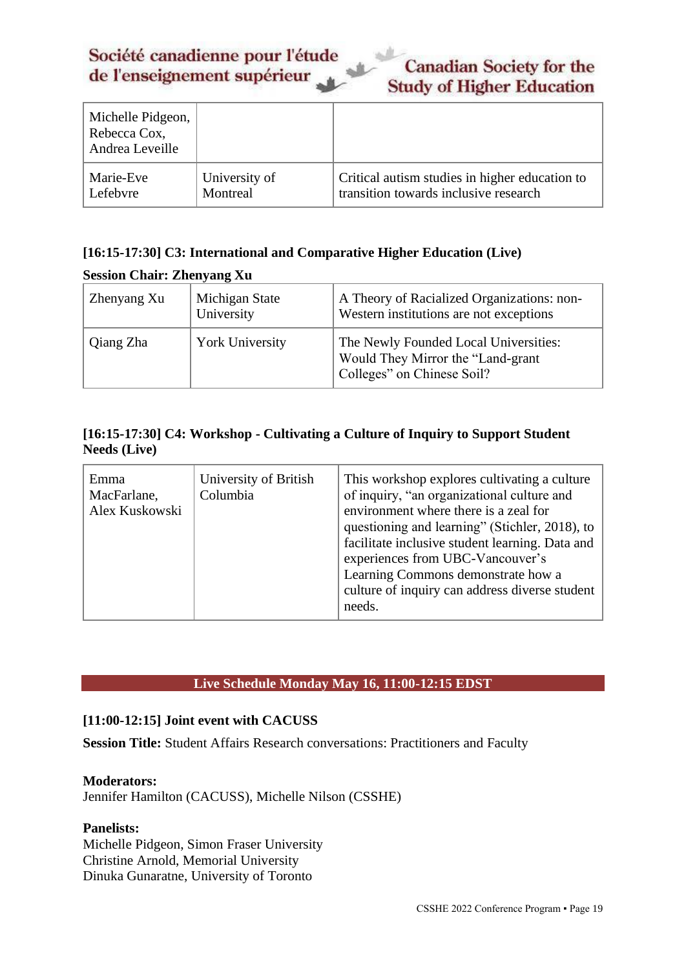| <b>Canadian Society for the</b>  |
|----------------------------------|
| <b>Study of Higher Education</b> |

| Michelle Pidgeon,<br>Rebecca Cox,<br>Andrea Leveille |               |                                                |
|------------------------------------------------------|---------------|------------------------------------------------|
| Marie-Eve                                            | University of | Critical autism studies in higher education to |
| Lefebvre                                             | Montreal      | transition towards inclusive research          |

#### <span id="page-18-1"></span>**[16:15-17:30] C3: International and Comparative Higher Education (Live)**

#### **Session Chair: Zhenyang Xu**

| Zhenyang Xu | Michigan State<br>University | A Theory of Racialized Organizations: non-<br>Western institutions are not exceptions                    |
|-------------|------------------------------|----------------------------------------------------------------------------------------------------------|
| Qiang Zha   | <b>York University</b>       | The Newly Founded Local Universities:<br>Would They Mirror the "Land-grant<br>Colleges" on Chinese Soil? |

## <span id="page-18-2"></span>**[16:15-17:30] C4: Workshop - Cultivating a Culture of Inquiry to Support Student Needs (Live)**

| Emma<br>MacFarlane,<br>Alex Kuskowski | University of British<br>Columbia | This workshop explores cultivating a culture<br>of inquiry, "an organizational culture and<br>environment where there is a zeal for<br>questioning and learning" (Stichler, 2018), to<br>facilitate inclusive student learning. Data and<br>experiences from UBC-Vancouver's<br>Learning Commons demonstrate how a<br>culture of inquiry can address diverse student<br>needs. |
|---------------------------------------|-----------------------------------|--------------------------------------------------------------------------------------------------------------------------------------------------------------------------------------------------------------------------------------------------------------------------------------------------------------------------------------------------------------------------------|
|---------------------------------------|-----------------------------------|--------------------------------------------------------------------------------------------------------------------------------------------------------------------------------------------------------------------------------------------------------------------------------------------------------------------------------------------------------------------------------|

## **Live Schedule Monday May 16, 11:00-12:15 EDST**

#### <span id="page-18-3"></span><span id="page-18-0"></span>**[11:00-12:15] Joint event with CACUSS**

**Session Title:** Student Affairs Research conversations: Practitioners and Faculty

#### **Moderators:**

Jennifer Hamilton (CACUSS), Michelle Nilson (CSSHE)

#### **Panelists:**

Michelle Pidgeon, Simon Fraser University Christine Arnold, Memorial University Dinuka Gunaratne, University of Toronto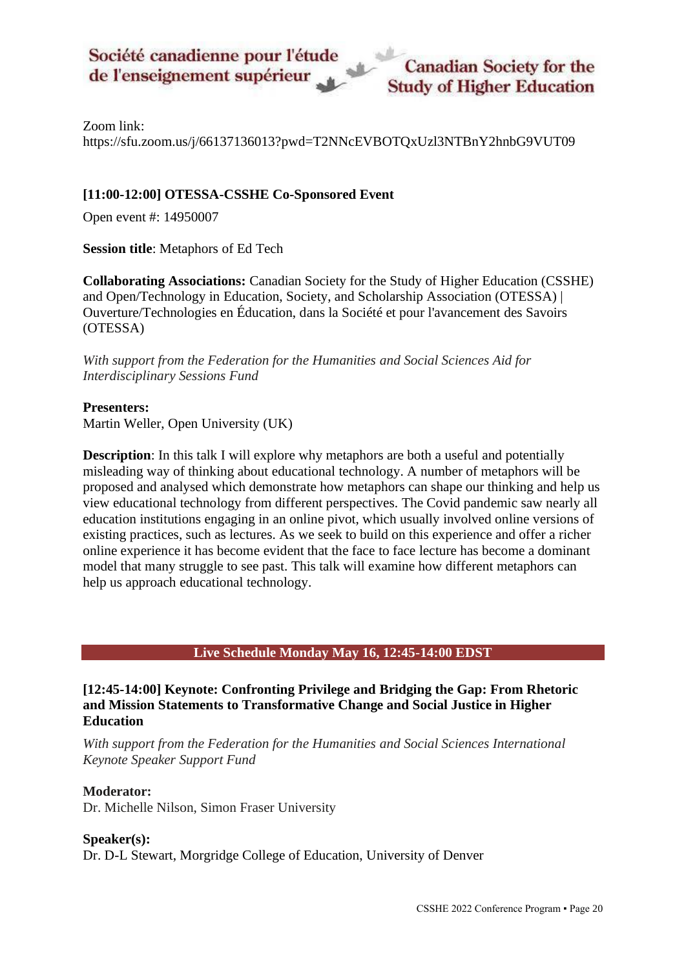Zoom link:

<https://sfu.zoom.us/j/66137136013?pwd=T2NNcEVBOTQxUzl3NTBnY2hnbG9VUT09>

## **[11:00-12:00] OTESSA-CSSHE Co-Sponsored Event**

<span id="page-19-1"></span>Open event #: 14950007

**Session title**: Metaphors of Ed Tech

**Collaborating Associations:** Canadian Society for the Study of Higher Education (CSSHE) and Open/Technology in Education, Society, and Scholarship Association (OTESSA) | Ouverture/Technologies en Éducation, dans la Société et pour l'avancement des Savoirs (OTESSA)

*With support from the Federation for the Humanities and Social Sciences Aid for Interdisciplinary Sessions Fund*

#### **Presenters:**

Martin Weller, Open University (UK)

**Description**: In this talk I will explore why metaphors are both a useful and potentially misleading way of thinking about educational technology. A number of metaphors will be proposed and analysed which demonstrate how metaphors can shape our thinking and help us view educational technology from different perspectives. The Covid pandemic saw nearly all education institutions engaging in an online pivot, which usually involved online versions of existing practices, such as lectures. As we seek to build on this experience and offer a richer online experience it has become evident that the face to face lecture has become a dominant model that many struggle to see past. This talk will examine how different metaphors can help us approach educational technology.

#### **Live Schedule Monday May 16, 12:45-14:00 EDST**

#### <span id="page-19-2"></span><span id="page-19-0"></span>**[12:45-14:00] Keynote: Confronting Privilege and Bridging the Gap: From Rhetoric and Mission Statements to Transformative Change and Social Justice in Higher Education**

*With support from the Federation for the Humanities and Social Sciences International Keynote Speaker Support Fund*

#### **Moderator:**

Dr. Michelle Nilson, Simon Fraser University

#### **Speaker(s):**

Dr. D-L Stewart, Morgridge College of Education, University of Denver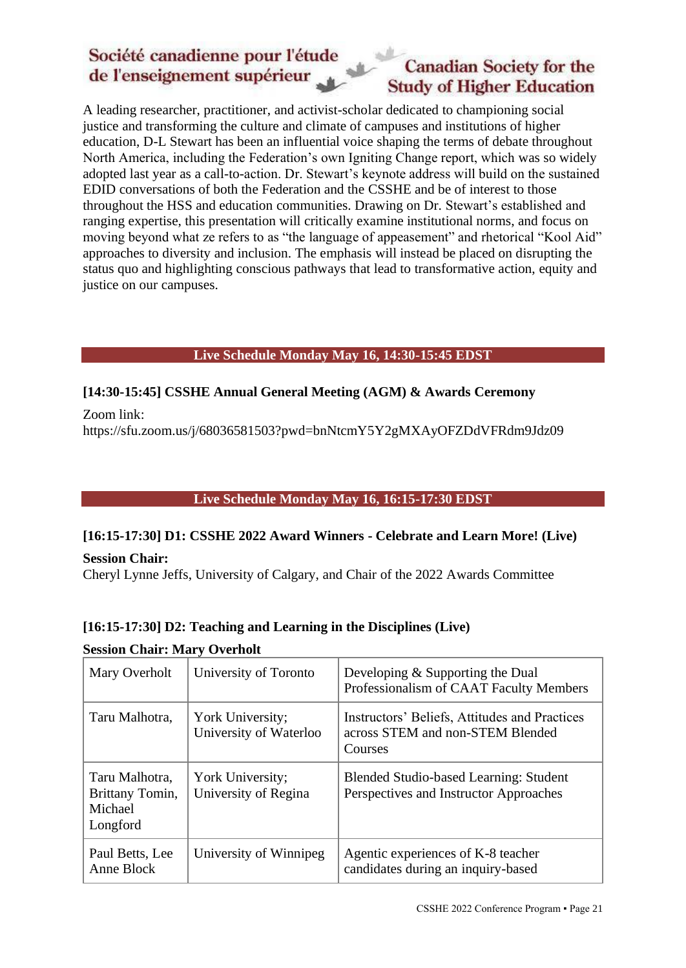# **Canadian Society for the Study of Higher Education**

A leading researcher, practitioner, and activist-scholar dedicated to championing social justice and transforming the culture and climate of campuses and institutions of higher education, D-L Stewart has been an influential voice shaping the terms of debate throughout North America, including the Federation's own Igniting Change report, which was so widely adopted last year as a call-to-action. Dr. Stewart's keynote address will build on the sustained EDID conversations of both the Federation and the CSSHE and be of interest to those throughout the HSS and education communities. Drawing on Dr. Stewart's established and ranging expertise, this presentation will critically examine institutional norms, and focus on moving beyond what ze refers to as "the language of appeasement" and rhetorical "Kool Aid" approaches to diversity and inclusion. The emphasis will instead be placed on disrupting the status quo and highlighting conscious pathways that lead to transformative action, equity and justice on our campuses.

## **Live Schedule Monday May 16, 14:30-15:45 EDST**

# <span id="page-20-0"></span>**[14:30-15:45] CSSHE Annual General Meeting (AGM) & Awards Ceremony**

Zoom link:

<span id="page-20-2"></span><span id="page-20-1"></span>[https://sfu.zoom.us/j/68036581503?pwd=bnNtcmY5Y2gMXAyOFZDdVFRdm9Jdz09](https://sfu.zoom.us/j/68036581503?pwd=bnNtcmY5Y2g4MXAyOFZDdVFRdm9Jdz09)

### **Live Schedule Monday May 16, 16:15-17:30 EDST**

## **[16:15-17:30] D1: CSSHE 2022 Award Winners - Celebrate and Learn More! (Live)**

**Session Chair:** 

<span id="page-20-3"></span>Cheryl Lynne Jeffs, University of Calgary, and Chair of the 2022 Awards Committee

## <span id="page-20-4"></span>**[16:15-17:30] D2: Teaching and Learning in the Disciplines (Live)**

## **Session Chair: Mary Overholt**

| Mary Overholt                                            | University of Toronto                      | Developing & Supporting the Dual<br>Professionalism of CAAT Faculty Members                  |
|----------------------------------------------------------|--------------------------------------------|----------------------------------------------------------------------------------------------|
| Taru Malhotra,                                           | York University;<br>University of Waterloo | Instructors' Beliefs, Attitudes and Practices<br>across STEM and non-STEM Blended<br>Courses |
| Taru Malhotra,<br>Brittany Tomin,<br>Michael<br>Longford | York University;<br>University of Regina   | Blended Studio-based Learning: Student<br>Perspectives and Instructor Approaches             |
| Paul Betts, Lee<br>Anne Block                            | University of Winnipeg                     | Agentic experiences of K-8 teacher<br>candidates during an inquiry-based                     |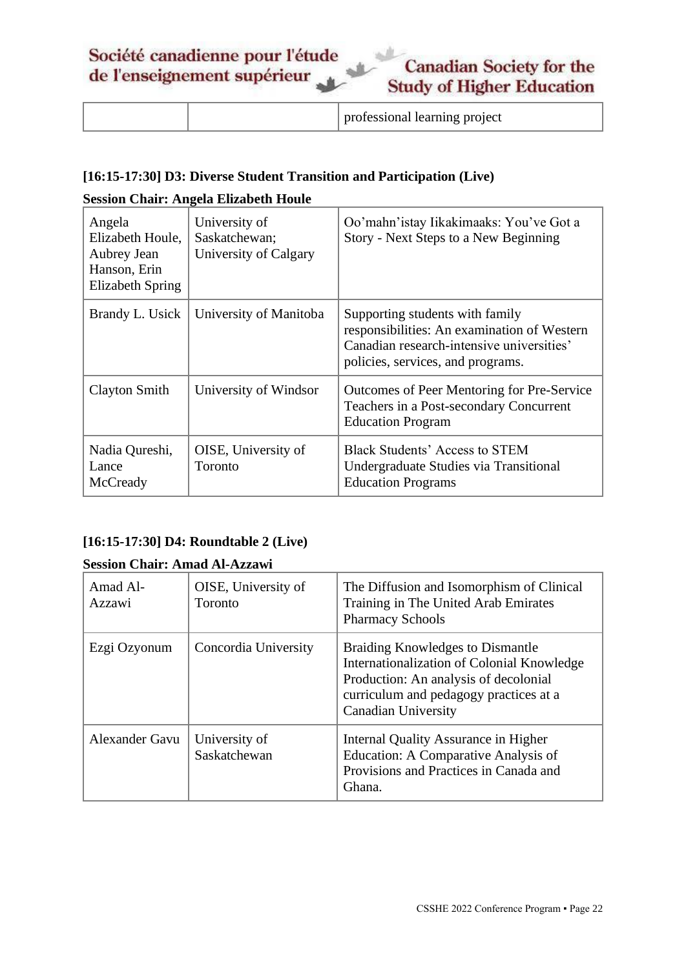|  | professional learning project |
|--|-------------------------------|
|--|-------------------------------|

## <span id="page-21-0"></span>**[16:15-17:30] D3: Diverse Student Transition and Participation (Live)**

## **Session Chair: Angela Elizabeth Houle**

| Angela<br>Elizabeth Houle,<br>Aubrey Jean<br>Hanson, Erin<br>Elizabeth Spring | University of<br>Saskatchewan;<br>University of Calgary | Oo'mahn'istay Iikakimaaks: You've Got a<br>Story - Next Steps to a New Beginning                                                                                 |
|-------------------------------------------------------------------------------|---------------------------------------------------------|------------------------------------------------------------------------------------------------------------------------------------------------------------------|
| Brandy L. Usick                                                               | University of Manitoba                                  | Supporting students with family<br>responsibilities: An examination of Western<br>Canadian research-intensive universities'<br>policies, services, and programs. |
| Clayton Smith                                                                 | University of Windsor                                   | Outcomes of Peer Mentoring for Pre-Service<br>Teachers in a Post-secondary Concurrent<br><b>Education Program</b>                                                |
| Nadia Qureshi,<br>Lance<br>McCready                                           | OISE, University of<br>Toronto                          | Black Students' Access to STEM<br>Undergraduate Studies via Transitional<br><b>Education Programs</b>                                                            |

# <span id="page-21-1"></span>**[16:15-17:30] D4: Roundtable 2 (Live)**

#### **Session Chair: Amad Al-Azzawi**

| Amad Al-<br>Azzawi | OISE, University of<br><b>Toronto</b> | The Diffusion and Isomorphism of Clinical<br>Training in The United Arab Emirates<br><b>Pharmacy Schools</b>                                                                                    |
|--------------------|---------------------------------------|-------------------------------------------------------------------------------------------------------------------------------------------------------------------------------------------------|
| Ezgi Ozyonum       | Concordia University                  | Braiding Knowledges to Dismantle<br>Internationalization of Colonial Knowledge<br>Production: An analysis of decolonial<br>curriculum and pedagogy practices at a<br><b>Canadian University</b> |
| Alexander Gavu     | University of<br>Saskatchewan         | Internal Quality Assurance in Higher<br>Education: A Comparative Analysis of<br>Provisions and Practices in Canada and<br>Ghana.                                                                |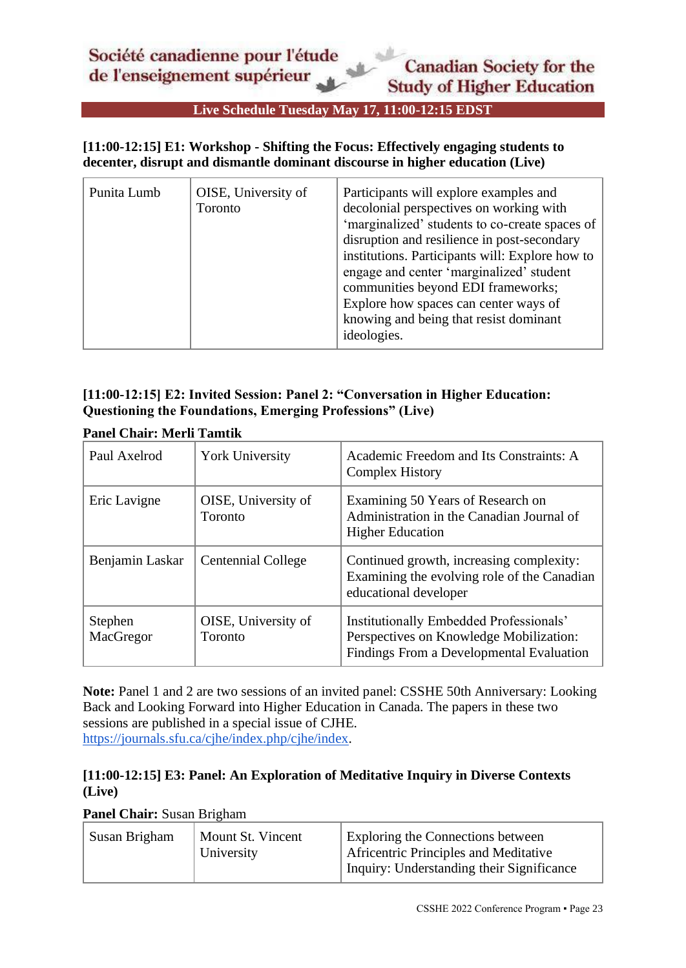**Live Schedule Tuesday May 17, 11:00-12:15 EDST**

#### <span id="page-22-1"></span><span id="page-22-0"></span>**[11:00-12:15] E1: Workshop - Shifting the Focus: Effectively engaging students to decenter, disrupt and dismantle dominant discourse in higher education (Live)**

| Punita Lumb | OISE, University of<br>Toronto | Participants will explore examples and<br>decolonial perspectives on working with<br>'marginalized' students to co-create spaces of<br>disruption and resilience in post-secondary<br>institutions. Participants will: Explore how to<br>engage and center 'marginalized' student<br>communities beyond EDI frameworks;<br>Explore how spaces can center ways of<br>knowing and being that resist dominant<br>ideologies. |
|-------------|--------------------------------|---------------------------------------------------------------------------------------------------------------------------------------------------------------------------------------------------------------------------------------------------------------------------------------------------------------------------------------------------------------------------------------------------------------------------|
|-------------|--------------------------------|---------------------------------------------------------------------------------------------------------------------------------------------------------------------------------------------------------------------------------------------------------------------------------------------------------------------------------------------------------------------------------------------------------------------------|

## <span id="page-22-2"></span>**[11:00-12:15] E2: Invited Session: Panel 2: "Conversation in Higher Education: Questioning the Foundations, Emerging Professions" (Live)**

| Paul Axelrod         | <b>York University</b>         | Academic Freedom and Its Constraints: A<br><b>Complex History</b>                                                              |
|----------------------|--------------------------------|--------------------------------------------------------------------------------------------------------------------------------|
| Eric Lavigne         | OISE, University of<br>Toronto | Examining 50 Years of Research on<br>Administration in the Canadian Journal of<br><b>Higher Education</b>                      |
| Benjamin Laskar      | <b>Centennial College</b>      | Continued growth, increasing complexity:<br>Examining the evolving role of the Canadian<br>educational developer               |
| Stephen<br>MacGregor | OISE, University of<br>Toronto | Institutionally Embedded Professionals'<br>Perspectives on Knowledge Mobilization:<br>Findings From a Developmental Evaluation |

#### **Panel Chair: Merli Tamtik**

**Note:** Panel 1 and 2 are two sessions of an invited panel: CSSHE 50th Anniversary: Looking Back and Looking Forward into Higher Education in Canada. The papers in these two sessions are published in a special issue of CJHE. [https://journals.sfu.ca/cjhe/index.php/cjhe/index.](https://can01.safelinks.protection.outlook.com/?url=https%3A%2F%2Fjournals.sfu.ca%2Fcjhe%2Findex.php%2Fcjhe%2Findex&data=04%7C01%7Cleping.mou%40mail.utoronto.ca%7Cd1041f1e422647521ca508da07649619%7C78aac2262f034b4d9037b46d56c55210%7C0%7C0%7C637830425858866083%7CUnknown%7CTWFpbGZsb3d8eyJWIjoiMC4wLjAwMDAiLCJQIjoiV2luMzIiLCJBTiI6Ik1haWwiLCJXVCI6Mn0%3D%7C3000&sdata=DSsxkK2QUNlO%2BDkHt2AHfGWpYT4I%2BoVO3MNxJZH3mcM%3D&reserved=0)

## <span id="page-22-3"></span>**[11:00-12:15] E3: Panel: An Exploration of Meditative Inquiry in Diverse Contexts (Live)**

**Panel Chair:** Susan Brigham

| Susan Brigham | Mount St. Vincent<br>University | <b>Exploring the Connections between</b><br><b>Africentric Principles and Meditative</b> |
|---------------|---------------------------------|------------------------------------------------------------------------------------------|
|               |                                 | Inquiry: Understanding their Significance                                                |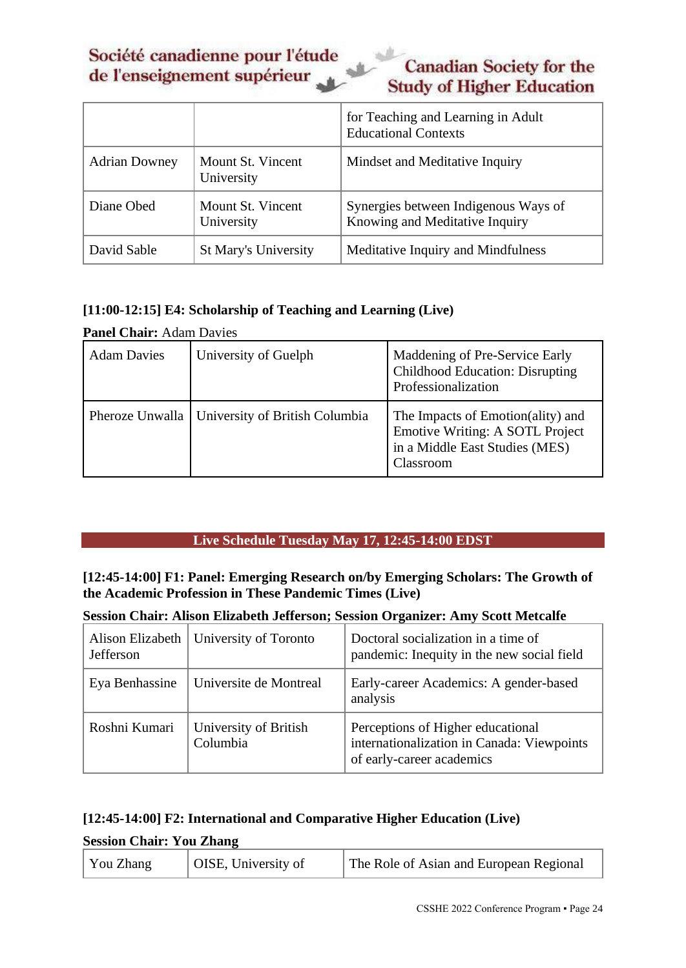**Canadian Society for the Study of Higher Education** 

|                      |                                 | for Teaching and Learning in Adult<br><b>Educational Contexts</b>      |
|----------------------|---------------------------------|------------------------------------------------------------------------|
| <b>Adrian Downey</b> | Mount St. Vincent<br>University | Mindset and Meditative Inquiry                                         |
| Diane Obed           | Mount St. Vincent<br>University | Synergies between Indigenous Ways of<br>Knowing and Meditative Inquiry |
| David Sable          | <b>St Mary's University</b>     | Meditative Inquiry and Mindfulness                                     |

#### <span id="page-23-1"></span>**[11:00-12:15] E4: Scholarship of Teaching and Learning (Live)**

| <b>Panel Chair: Adam Davies</b> |                                                  |                                                                                                                            |
|---------------------------------|--------------------------------------------------|----------------------------------------------------------------------------------------------------------------------------|
| <b>Adam Davies</b>              | University of Guelph                             | Maddening of Pre-Service Early<br><b>Childhood Education: Disrupting</b><br>Professionalization                            |
|                                 | Pheroze Unwalla   University of British Columbia | The Impacts of Emotion(ality) and<br><b>Emotive Writing: A SOTL Project</b><br>in a Middle East Studies (MES)<br>Classroom |

#### **Live Schedule Tuesday May 17, 12:45-14:00 EDST**

#### <span id="page-23-2"></span><span id="page-23-0"></span>**[12:45-14:00] F1: Panel: Emerging Research on/by Emerging Scholars: The Growth of the Academic Profession in These Pandemic Times (Live)**

#### **Session Chair: Alison Elizabeth Jefferson; Session Organizer: Amy Scott Metcalfe**

| Jefferson      | Alison Elizabeth   University of Toronto | Doctoral socialization in a time of<br>pandemic: Inequity in the new social field                            |
|----------------|------------------------------------------|--------------------------------------------------------------------------------------------------------------|
| Eya Benhassine | Universite de Montreal                   | Early-career Academics: A gender-based<br>analysis                                                           |
| Roshni Kumari  | University of British<br>Columbia        | Perceptions of Higher educational<br>internationalization in Canada: Viewpoints<br>of early-career academics |

#### <span id="page-23-3"></span>**[12:45-14:00] F2: International and Comparative Higher Education (Live)**

#### **Session Chair: You Zhang**

| You Zhang<br>  OISE, University of<br>The Role of Asian and European Regional |
|-------------------------------------------------------------------------------|
|-------------------------------------------------------------------------------|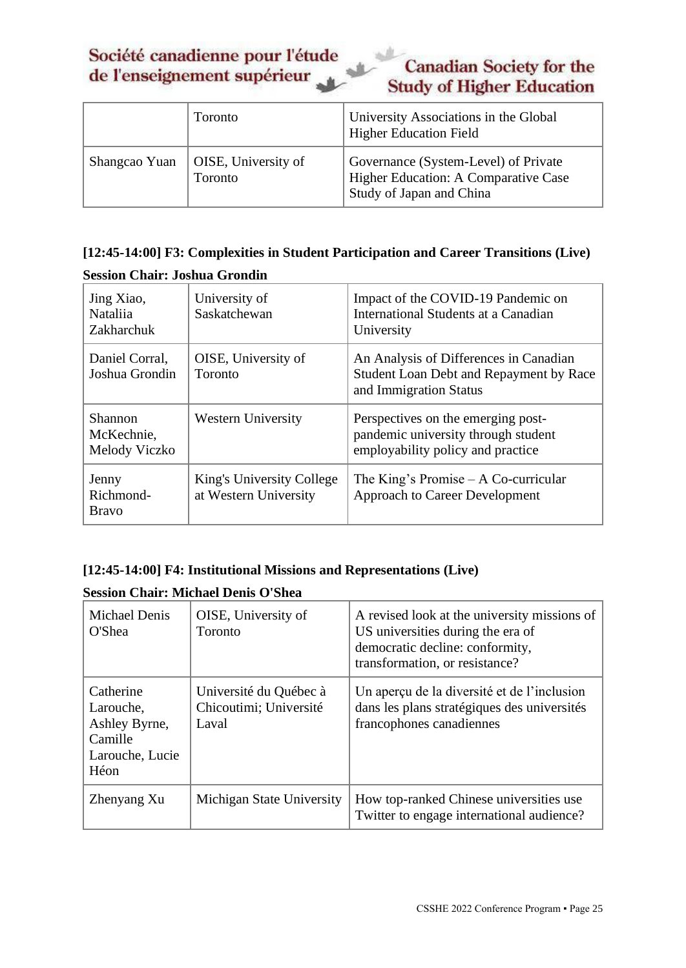# **Canadian Society for the Study of Higher Education**

|               | Toronto                        | University Associations in the Global<br><b>Higher Education Field</b>                                   |
|---------------|--------------------------------|----------------------------------------------------------------------------------------------------------|
| Shangcao Yuan | OISE, University of<br>Toronto | Governance (System-Level) of Private<br>Higher Education: A Comparative Case<br>Study of Japan and China |

# <span id="page-24-0"></span>**[12:45-14:00] F3: Complexities in Student Participation and Career Transitions (Live)**

| Jing Xiao,<br><b>Nataliia</b><br>Zakharchuk | University of<br>Saskatchewan                      | Impact of the COVID-19 Pandemic on<br>International Students at a Canadian<br>University                       |
|---------------------------------------------|----------------------------------------------------|----------------------------------------------------------------------------------------------------------------|
| Daniel Corral,<br>Joshua Grondin            | OISE, University of<br>Toronto                     | An Analysis of Differences in Canadian<br>Student Loan Debt and Repayment by Race<br>and Immigration Status    |
| Shannon<br>McKechnie,<br>Melody Viczko      | <b>Western University</b>                          | Perspectives on the emerging post-<br>pandemic university through student<br>employability policy and practice |
| Jenny<br>Richmond-<br><b>Bravo</b>          | King's University College<br>at Western University | The King's Promise $- A$ Co-curricular<br><b>Approach to Career Development</b>                                |

## **Session Chair: Joshua Grondin**

## <span id="page-24-1"></span>**[12:45-14:00] F4: Institutional Missions and Representations (Live)**

## **Session Chair: Michael Denis O'Shea**

| <b>Michael Denis</b><br>O'Shea                                                | OISE, University of<br>Toronto                            | A revised look at the university missions of<br>US universities during the era of<br>democratic decline: conformity,<br>transformation, or resistance? |
|-------------------------------------------------------------------------------|-----------------------------------------------------------|--------------------------------------------------------------------------------------------------------------------------------------------------------|
| Catherine<br>Larouche,<br>Ashley Byrne,<br>Camille<br>Larouche, Lucie<br>Héon | Université du Québec à<br>Chicoutimi; Université<br>Laval | Un aperçu de la diversité et de l'inclusion<br>dans les plans stratégiques des universités<br>francophones canadiennes                                 |
| Zhenyang Xu                                                                   | Michigan State University                                 | How top-ranked Chinese universities use<br>Twitter to engage international audience?                                                                   |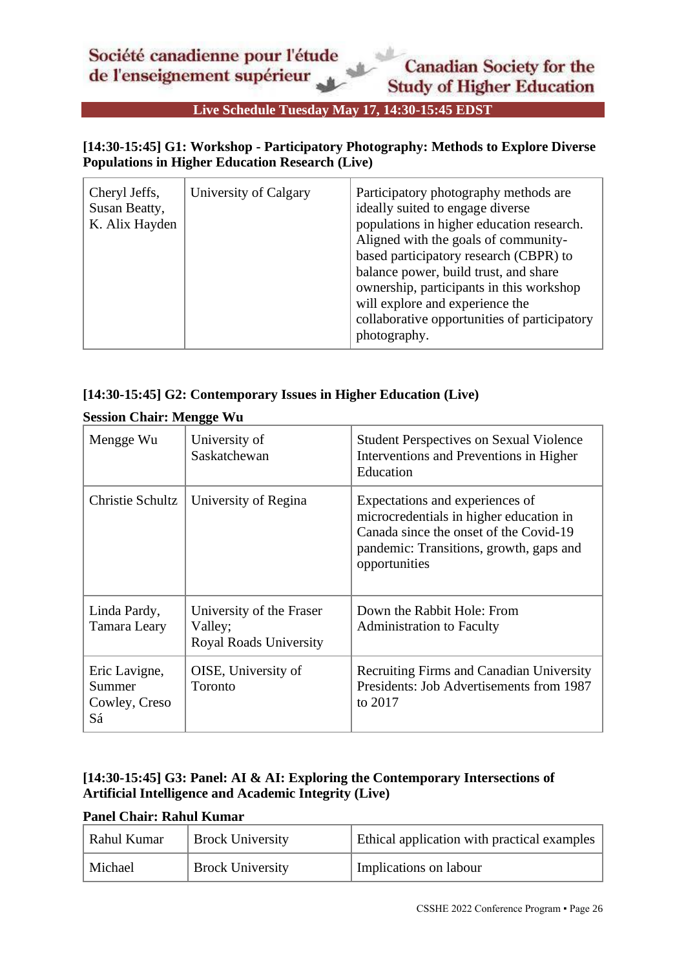# **Live Schedule Tuesday May 17, 14:30-15:45 EDST**

## <span id="page-25-1"></span><span id="page-25-0"></span>**[14:30-15:45] G1: Workshop - Participatory Photography: Methods to Explore Diverse Populations in Higher Education Research (Live)**

| Cheryl Jeffs,<br>Susan Beatty,<br>K. Alix Hayden | University of Calgary | Participatory photography methods are<br>ideally suited to engage diverse<br>populations in higher education research.<br>Aligned with the goals of community-<br>based participatory research (CBPR) to<br>balance power, build trust, and share<br>ownership, participants in this workshop<br>will explore and experience the<br>collaborative opportunities of participatory<br>photography. |
|--------------------------------------------------|-----------------------|--------------------------------------------------------------------------------------------------------------------------------------------------------------------------------------------------------------------------------------------------------------------------------------------------------------------------------------------------------------------------------------------------|
|--------------------------------------------------|-----------------------|--------------------------------------------------------------------------------------------------------------------------------------------------------------------------------------------------------------------------------------------------------------------------------------------------------------------------------------------------------------------------------------------------|

#### <span id="page-25-2"></span>**[14:30-15:45] G2: Contemporary Issues in Higher Education (Live)**

#### **Session Chair: Mengge Wu**

| Mengge Wu                                      | University of<br>Saskatchewan                                        | <b>Student Perspectives on Sexual Violence</b><br>Interventions and Preventions in Higher<br>Education                                                                           |
|------------------------------------------------|----------------------------------------------------------------------|----------------------------------------------------------------------------------------------------------------------------------------------------------------------------------|
| Christie Schultz                               | University of Regina                                                 | Expectations and experiences of<br>microcredentials in higher education in<br>Canada since the onset of the Covid-19<br>pandemic: Transitions, growth, gaps and<br>opportunities |
| Linda Pardy,<br>Tamara Leary                   | University of the Fraser<br>Valley;<br><b>Royal Roads University</b> | Down the Rabbit Hole: From<br><b>Administration to Faculty</b>                                                                                                                   |
| Eric Lavigne,<br>Summer<br>Cowley, Creso<br>Sá | OISE, University of<br>Toronto                                       | <b>Recruiting Firms and Canadian University</b><br>Presidents: Job Advertisements from 1987<br>to 2017                                                                           |

## <span id="page-25-3"></span>**[14:30-15:45] G3: Panel: AI & AI: Exploring the Contemporary Intersections of Artificial Intelligence and Academic Integrity (Live)**

#### **Panel Chair: Rahul Kumar**

| Rahul Kumar | <b>Brock University</b> | <b>Ethical application with practical examples</b> |
|-------------|-------------------------|----------------------------------------------------|
| Michael     | <b>Brock University</b> | Implications on labour                             |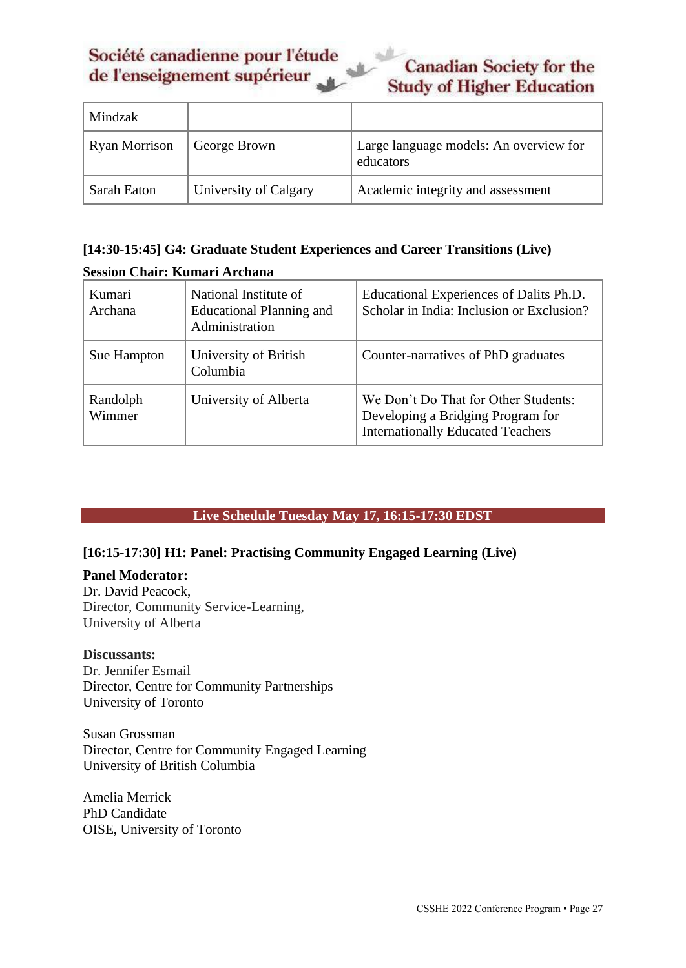# **Canadian Society for the Study of Higher Education**

| Mindzak              |                       |                                                     |
|----------------------|-----------------------|-----------------------------------------------------|
| <b>Ryan Morrison</b> | George Brown          | Large language models: An overview for<br>educators |
| Sarah Eaton          | University of Calgary | Academic integrity and assessment                   |

# <span id="page-26-1"></span>**[14:30-15:45] G4: Graduate Student Experiences and Career Transitions (Live) Session Chair: Kumari Archana**

| Kumari<br>Archana  | National Institute of<br>Educational Planning and<br>Administration | Educational Experiences of Dalits Ph.D.<br>Scholar in India: Inclusion or Exclusion?                                  |
|--------------------|---------------------------------------------------------------------|-----------------------------------------------------------------------------------------------------------------------|
| Sue Hampton        | University of British<br>Columbia                                   | Counter-narratives of PhD graduates                                                                                   |
| Randolph<br>Wimmer | University of Alberta                                               | We Don't Do That for Other Students:<br>Developing a Bridging Program for<br><b>Internationally Educated Teachers</b> |

# **Live Schedule Tuesday May 17, 16:15-17:30 EDST**

## <span id="page-26-2"></span><span id="page-26-0"></span>**[16:15-17:30] H1: Panel: Practising Community Engaged Learning (Live)**

#### **Panel Moderator:**

Dr. David Peacock, Director, Community Service-Learning, University of Alberta

#### **Discussants:**

Dr. Jennifer Esmail Director, Centre for Community Partnerships University of Toronto

Susan Grossman Director, Centre for Community Engaged Learning University of British Columbia

Amelia Merrick PhD Candidate OISE, University of Toronto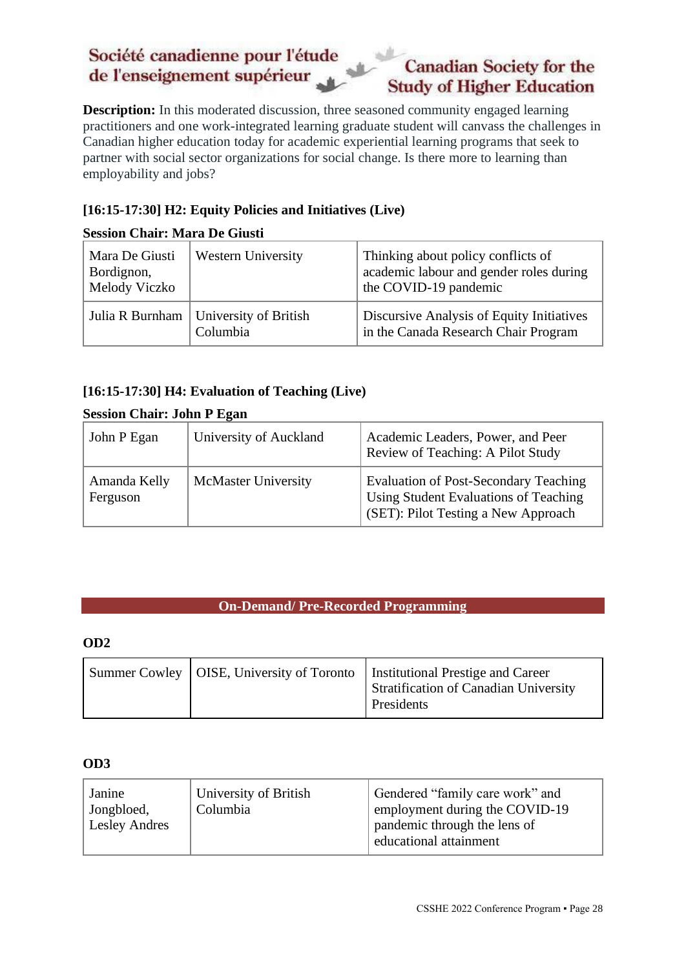# **Canadian Society for the Study of Higher Education**

**Description:** In this moderated discussion, three seasoned community engaged learning practitioners and one work-integrated learning graduate student will canvass the challenges in Canadian higher education today for academic experiential learning programs that seek to partner with social sector organizations for social change. Is there more to learning than employability and jobs?

## <span id="page-27-1"></span>**[16:15-17:30] H2: Equity Policies and Initiatives (Live)**

## **Session Chair: Mara De Giusti**

| Mara De Giusti<br>Bordignon,<br>Melody Viczko | <b>Western University</b>                           | Thinking about policy conflicts of<br>academic labour and gender roles during<br>the COVID-19 pandemic |
|-----------------------------------------------|-----------------------------------------------------|--------------------------------------------------------------------------------------------------------|
|                                               | Julia R Burnham   University of British<br>Columbia | Discursive Analysis of Equity Initiatives<br>in the Canada Research Chair Program                      |

# <span id="page-27-2"></span>**[16:15-17:30] H4: Evaluation of Teaching (Live)**

#### **Session Chair: John P Egan**

| John P Egan              | University of Auckland     | Academic Leaders, Power, and Peer<br>Review of Teaching: A Pilot Study                                                       |
|--------------------------|----------------------------|------------------------------------------------------------------------------------------------------------------------------|
| Amanda Kelly<br>Ferguson | <b>McMaster University</b> | <b>Evaluation of Post-Secondary Teaching</b><br>Using Student Evaluations of Teaching<br>(SET): Pilot Testing a New Approach |

#### **On-Demand/ Pre-Recorded Programming**

#### <span id="page-27-3"></span><span id="page-27-0"></span>**OD2**

| Summer Cowley   OISE, University of Toronto   Institutional Prestige and Career<br><b>Stratification of Canadian University</b><br>Presidents |  |
|-----------------------------------------------------------------------------------------------------------------------------------------------|--|
|-----------------------------------------------------------------------------------------------------------------------------------------------|--|

#### <span id="page-27-4"></span>**OD3**

| Janine<br>Jongbloed,<br><b>Lesley Andres</b> | University of British<br>Columbia | Gendered "family care work" and<br>employment during the COVID-19<br>pandemic through the lens of |
|----------------------------------------------|-----------------------------------|---------------------------------------------------------------------------------------------------|
|                                              |                                   | educational attainment                                                                            |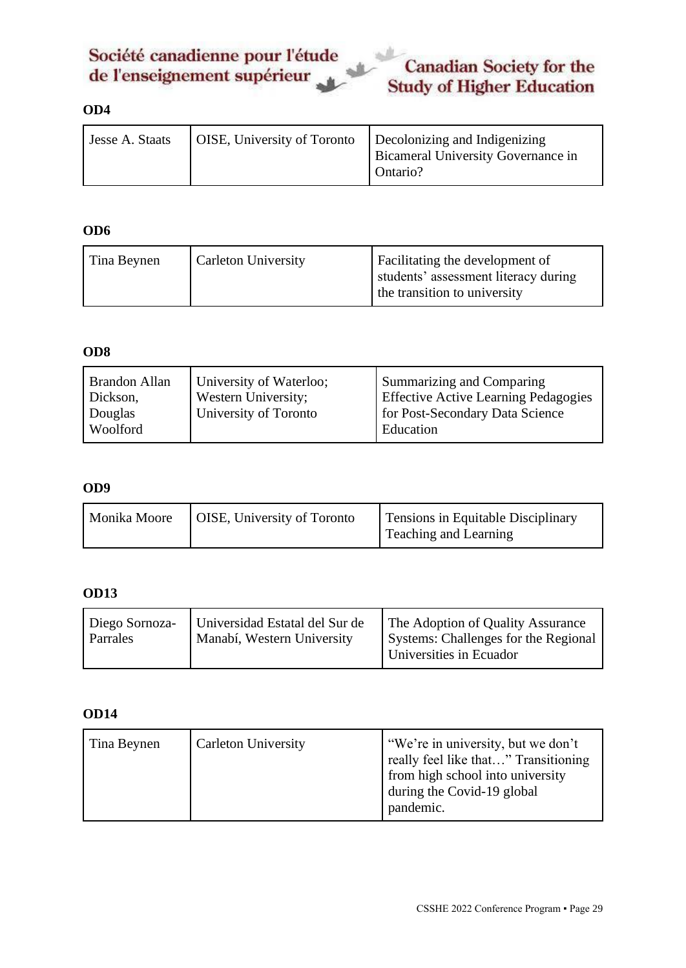

# <span id="page-28-0"></span>**OD4**

| Jesse A. Staats |  | OISE, University of Toronto   Decolonizing and Indigenizing<br><b>Bicameral University Governance in</b><br>Ontario? |
|-----------------|--|----------------------------------------------------------------------------------------------------------------------|
|-----------------|--|----------------------------------------------------------------------------------------------------------------------|

#### <span id="page-28-1"></span>**OD6**

| Tina Beynen | <b>Carleton University</b> | Facilitating the development of<br>students' assessment literacy during<br>the transition to university |
|-------------|----------------------------|---------------------------------------------------------------------------------------------------------|
|-------------|----------------------------|---------------------------------------------------------------------------------------------------------|

#### <span id="page-28-2"></span>**OD8**

| University of Waterloo;<br><b>Brandon Allan</b><br>Western University;<br>Dickson,<br>University of Toronto<br>Douglas<br>Woolford | Summarizing and Comparing<br><b>Effective Active Learning Pedagogies</b><br>for Post-Secondary Data Science<br>Education |
|------------------------------------------------------------------------------------------------------------------------------------|--------------------------------------------------------------------------------------------------------------------------|
|------------------------------------------------------------------------------------------------------------------------------------|--------------------------------------------------------------------------------------------------------------------------|

#### <span id="page-28-3"></span>**OD9**

| Monika Moore                       | Tensions in Equitable Disciplinary |
|------------------------------------|------------------------------------|
| <b>OISE, University of Toronto</b> | Teaching and Learning              |

#### <span id="page-28-4"></span>**OD13**

#### <span id="page-28-5"></span>**OD14**

| Tina Beynen | <b>Carleton University</b> | "We're in university, but we don't<br>really feel like that" Transitioning<br>from high school into university<br>during the Covid-19 global<br>pandemic. |
|-------------|----------------------------|-----------------------------------------------------------------------------------------------------------------------------------------------------------|
|-------------|----------------------------|-----------------------------------------------------------------------------------------------------------------------------------------------------------|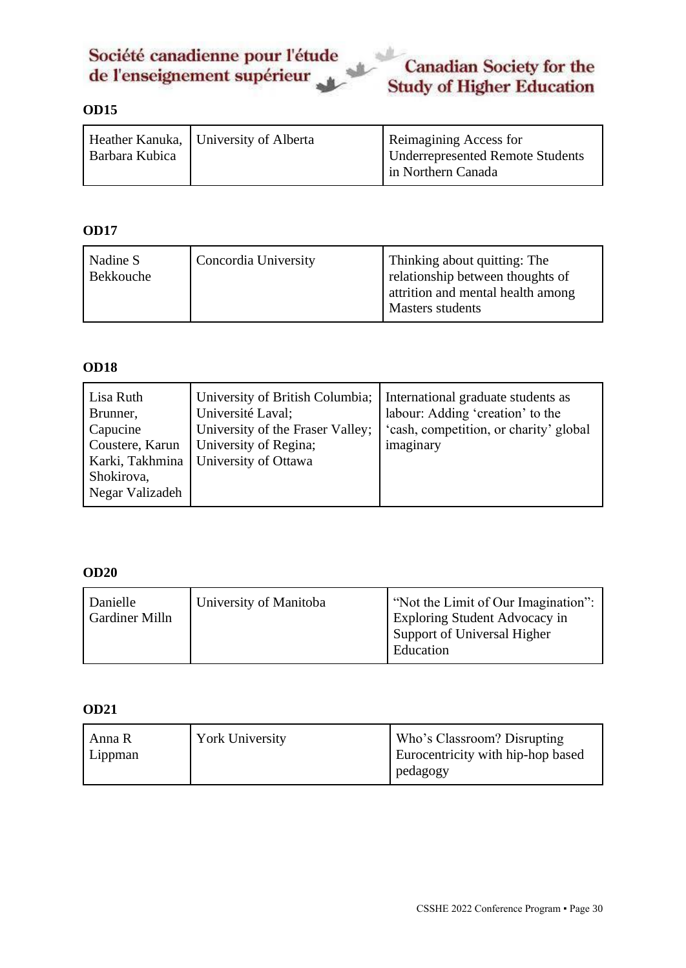

# <span id="page-29-0"></span>**OD15**

| Barbara Kubica | Heather Kanuka, University of Alberta | Reimagining Access for<br><b>Underrepresented Remote Students</b><br>in Northern Canada |
|----------------|---------------------------------------|-----------------------------------------------------------------------------------------|
|                |                                       |                                                                                         |

## <span id="page-29-1"></span>**OD17**

| Concordia University<br>Nadine S<br>Bekkouche | Thinking about quitting: The<br>relationship between thoughts of<br>attrition and mental health among<br>Masters students |
|-----------------------------------------------|---------------------------------------------------------------------------------------------------------------------------|
|-----------------------------------------------|---------------------------------------------------------------------------------------------------------------------------|

#### <span id="page-29-2"></span>**OD18**

| Lisa Ruth<br>Brunner,<br>Capucine<br>Coustere, Karun<br>Karki, Takhmina<br>Shokirova,<br>Negar Valizadeh | University of British Columbia;<br>Université Laval;<br>University of the Fraser Valley;<br>University of Regina;<br>University of Ottawa | International graduate students as<br>labour: Adding 'creation' to the<br>'cash, competition, or charity' global<br>imaginary |
|----------------------------------------------------------------------------------------------------------|-------------------------------------------------------------------------------------------------------------------------------------------|-------------------------------------------------------------------------------------------------------------------------------|
|----------------------------------------------------------------------------------------------------------|-------------------------------------------------------------------------------------------------------------------------------------------|-------------------------------------------------------------------------------------------------------------------------------|

#### <span id="page-29-3"></span>**OD20**

| Danielle<br><b>Gardiner Milln</b> | University of Manitoba | "Not the Limit of Our Imagination":<br><b>Exploring Student Advocacy in</b><br>Support of Universal Higher<br>Education |
|-----------------------------------|------------------------|-------------------------------------------------------------------------------------------------------------------------|
|                                   |                        |                                                                                                                         |

#### <span id="page-29-4"></span>**OD21**

| Anna R<br>Lippman | <b>York University</b> | Who's Classroom? Disrupting<br>Eurocentricity with hip-hop based |
|-------------------|------------------------|------------------------------------------------------------------|
|                   |                        | pedagogy                                                         |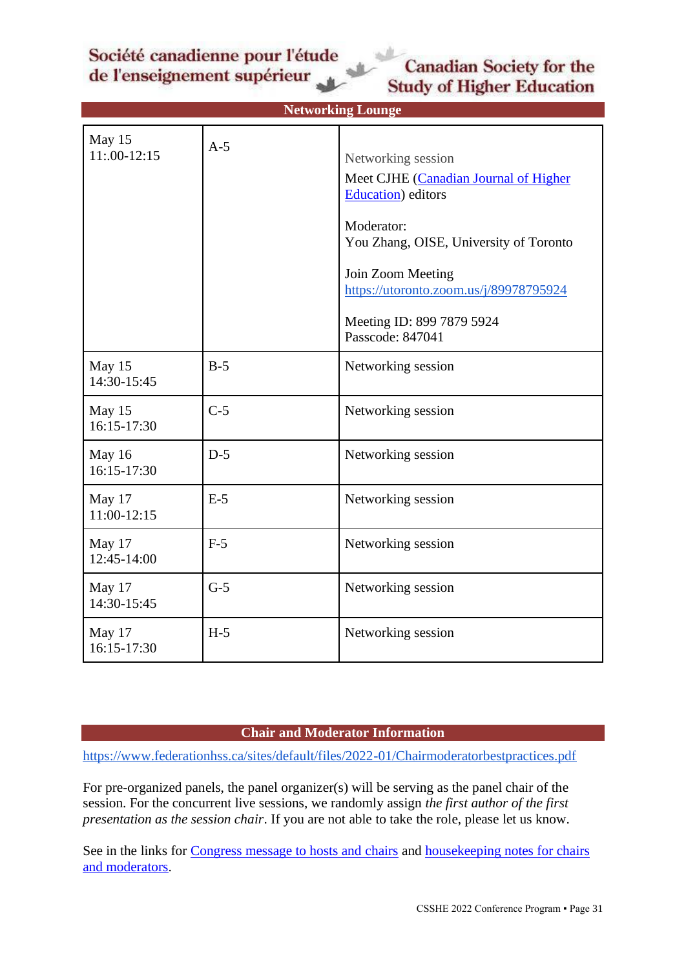# <span id="page-30-2"></span>**Canadian Society for the Study of Higher Education**

<span id="page-30-0"></span>

| <b>Networking Lounge</b> |       |                                                                                                                                                                                                                                                           |  |  |
|--------------------------|-------|-----------------------------------------------------------------------------------------------------------------------------------------------------------------------------------------------------------------------------------------------------------|--|--|
| May 15<br>$11:00-12:15$  | $A-5$ | Networking session<br>Meet CJHE (Canadian Journal of Higher<br>Education) editors<br>Moderator:<br>You Zhang, OISE, University of Toronto<br>Join Zoom Meeting<br>https://utoronto.zoom.us/j/89978795924<br>Meeting ID: 899 7879 5924<br>Passcode: 847041 |  |  |
| May 15<br>14:30-15:45    | $B-5$ | Networking session                                                                                                                                                                                                                                        |  |  |
| May 15<br>16:15-17:30    | $C-5$ | Networking session                                                                                                                                                                                                                                        |  |  |
| May 16<br>16:15-17:30    | $D-5$ | Networking session                                                                                                                                                                                                                                        |  |  |
| May 17<br>11:00-12:15    | $E-5$ | Networking session                                                                                                                                                                                                                                        |  |  |
| May 17<br>12:45-14:00    | $F-5$ | Networking session                                                                                                                                                                                                                                        |  |  |
| May 17<br>14:30-15:45    | $G-5$ | Networking session                                                                                                                                                                                                                                        |  |  |
| May 17<br>16:15-17:30    | $H-5$ | Networking session                                                                                                                                                                                                                                        |  |  |

#### **Chair and Moderator Information**

<span id="page-30-1"></span><https://www.federationhss.ca/sites/default/files/2022-01/Chairmoderatorbestpractices.pdf>

For pre-organized panels, the panel organizer(s) will be serving as the panel chair of the session. For the concurrent live sessions, we randomly assign *the first author of the first presentation as the session chair*. If you are not able to take the role, please let us know.

See in the links for [Congress message to hosts and chairs](https://drive.google.com/file/d/1XpKm0zt2Vuj0Nypq7qoM7AaWM3oKpTNI/view?usp=sharing) and [housekeeping notes for chairs](https://drive.google.com/file/d/1so-WuW47LhZYcEOzfUnQjrpC29tLKO-J/view?usp=sharing)  [and moderators.](https://drive.google.com/file/d/1so-WuW47LhZYcEOzfUnQjrpC29tLKO-J/view?usp=sharing)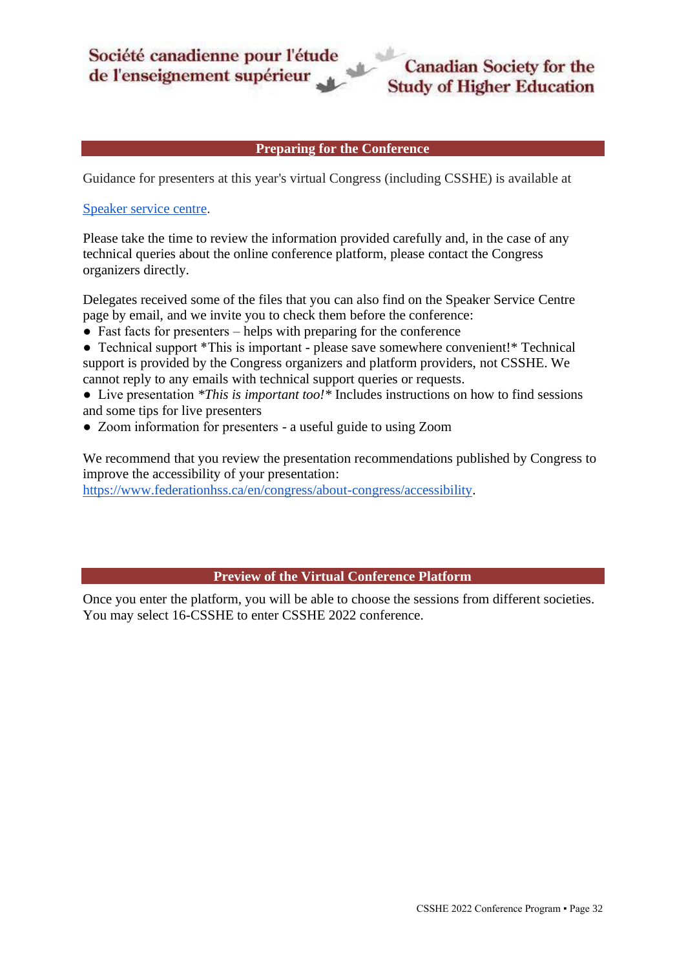#### **Preparing for the Conference**

<span id="page-31-0"></span>Guidance for presenters at this year's virtual Congress (including CSSHE) is available at

#### [Speaker service centre.](https://can01.safelinks.protection.outlook.com/?url=https%3A%2F%2Fwww.federationhss.ca%2Fen%2Fcongress%2Fcongress-2022%2Fspeaker-service-centre&data=04%7C01%7Cleping.mou%40mail.utoronto.ca%7C371e7d2df8e142b81d9a08da076cb1a6%7C78aac2262f034b4d9037b46d56c55210%7C0%7C0%7C637830461157230081%7CUnknown%7CTWFpbGZsb3d8eyJWIjoiMC4wLjAwMDAiLCJQIjoiV2luMzIiLCJBTiI6Ik1haWwiLCJXVCI6Mn0%3D%7C1000&sdata=1oYRQR0UeLgf0IVA7max8zSy%2FZ7%2BLH0hEdpgmaI%2Bilg%3D&reserved=0)

Please take the time to review the information provided carefully and, in the case of any technical queries about the online conference platform, please contact the Congress organizers directly.

Delegates received some of the files that you can also find on the Speaker Service Centre page by email, and we invite you to check them before the conference:

- $\bullet$  Fast facts for presenters helps with preparing for the conference
- Technical support \*This is important please save somewhere convenient!\* Technical support is provided by the Congress organizers and platform providers, not CSSHE. We cannot reply to any emails with technical support queries or requests.
- Live presentation *\*This is important too!\** Includes instructions on how to find sessions and some tips for live presenters
- Zoom information for presenters a useful guide to using Zoom

We recommend that you review the presentation recommendations published by Congress to improve the accessibility of your presentation:

[https://www.federationhss.ca/en/congress/about-congress/accessibility.](https://www.federationhss.ca/en/congress/about-congress/accessibility)

#### **Preview of the Virtual Conference Platform**

<span id="page-31-1"></span>Once you enter the platform, you will be able to choose the sessions from different societies. You may select 16-CSSHE to enter CSSHE 2022 conference.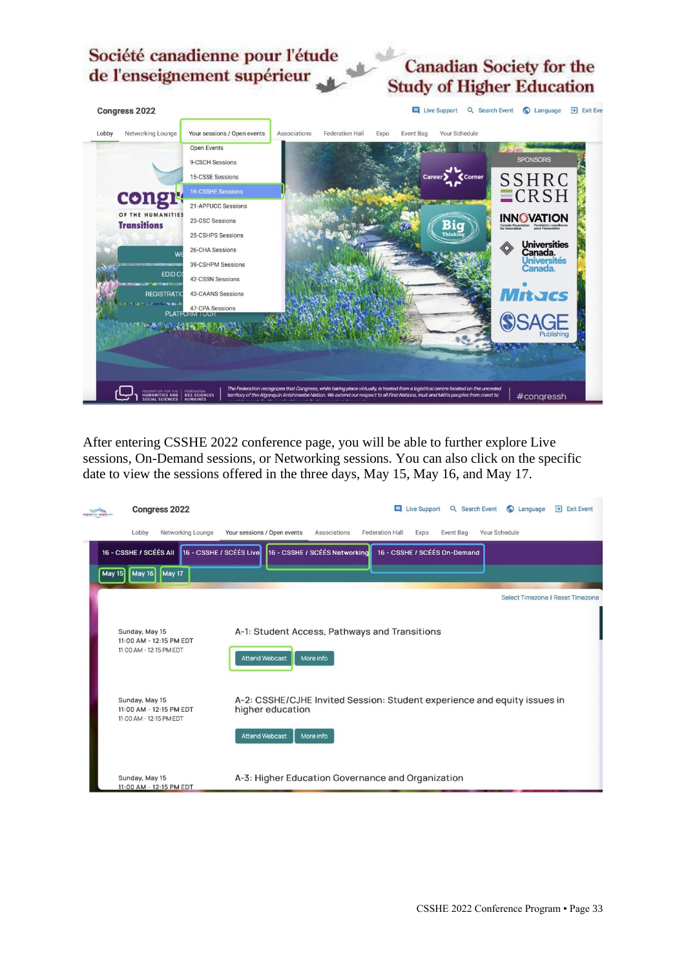# **Canadian Society for the Study of Higher Education**



After entering CSSHE 2022 conference page, you will be able to further explore Live sessions, On-Demand sessions, or Networking sessions. You can also click on the specific date to view the sessions offered in the three days, May 15, May 16, and May 17.

|               | Congress 2022                                                        |                   |                                                                                                                       |              |                              | Live Support | Q Search Event | C Language                       | $\Rightarrow$ Exit Event |
|---------------|----------------------------------------------------------------------|-------------------|-----------------------------------------------------------------------------------------------------------------------|--------------|------------------------------|--------------|----------------|----------------------------------|--------------------------|
|               | Lobby                                                                | Networking Lounge | Your sessions / Open events                                                                                           | Associations | Federation Hall              | Expo         | Event Bag      | Your Schedule                    |                          |
|               | 16 - CSSHE / SCÉÉS AII                                               |                   | 16 - CSSHE / SCÉÉS Live 16 - CSSHE / SCÉÉS Networking                                                                 |              | 16 - CSSHE / SCÉÉS On-Demand |              |                |                                  |                          |
| <b>May 15</b> | May 16 May 17                                                        |                   |                                                                                                                       |              |                              |              |                |                                  |                          |
|               |                                                                      |                   |                                                                                                                       |              |                              |              |                | Select Timezone I Reset Timezone |                          |
|               | Sunday, May 15<br>11:00 AM - 12:15 PM EDT<br>11:00 AM - 12:15 PM EDT |                   | A-1: Student Access, Pathways and Transitions<br><b>Attend Webcast</b>                                                | More info    |                              |              |                |                                  |                          |
|               | Sunday, May 15<br>11:00 AM - 12:15 PM EDT<br>11:00 AM - 12:15 PM EDT |                   | A-2: CSSHE/CJHE Invited Session: Student experience and equity issues in<br>higher education<br><b>Attend Webcast</b> | More info    |                              |              |                |                                  |                          |
|               | Sunday, May 15<br>11:00 AM - 12:15 PM EDT                            |                   | A-3: Higher Education Governance and Organization                                                                     |              |                              |              |                |                                  |                          |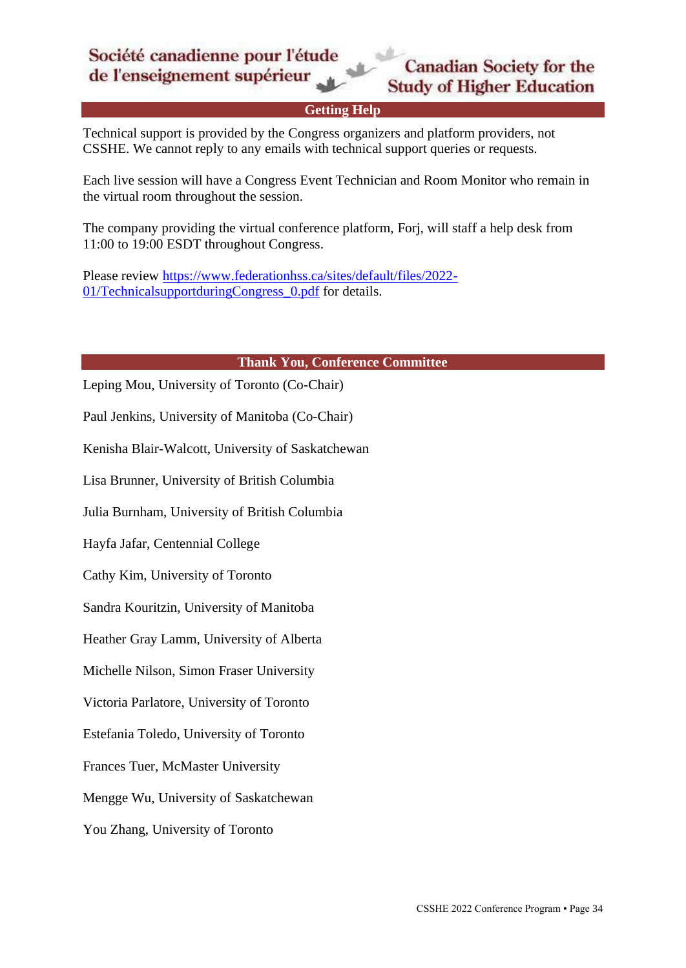

#### **Getting Help**

<span id="page-33-0"></span>Technical support is provided by the Congress organizers and platform providers, not CSSHE. We cannot reply to any emails with technical support queries or requests.

Each live session will have a Congress Event Technician and Room Monitor who remain in the virtual room throughout the session.

The company providing the virtual conference platform, Forj, will staff a help desk from 11:00 to 19:00 ESDT throughout Congress.

Please review [https://www.federationhss.ca/sites/default/files/2022-](https://www.federationhss.ca/sites/default/files/2022-01/TechnicalsupportduringCongress_0.pdf) [01/TechnicalsupportduringCongress\\_0.pdf](https://www.federationhss.ca/sites/default/files/2022-01/TechnicalsupportduringCongress_0.pdf) for details.

#### **Thank You, Conference Committee**

<span id="page-33-1"></span>Leping Mou, University of Toronto (Co-Chair) Paul Jenkins, University of Manitoba (Co-Chair)

Kenisha Blair-Walcott, University of Saskatchewan

Lisa Brunner, University of British Columbia

Julia Burnham, University of British Columbia

Hayfa Jafar, Centennial College

Cathy Kim, University of Toronto

Sandra Kouritzin, University of Manitoba

Heather Gray Lamm, University of Alberta

Michelle Nilson, Simon Fraser University

Victoria Parlatore, University of Toronto

Estefania Toledo, University of Toronto

Frances Tuer, McMaster University

Mengge Wu, University of Saskatchewan

You Zhang, University of Toronto